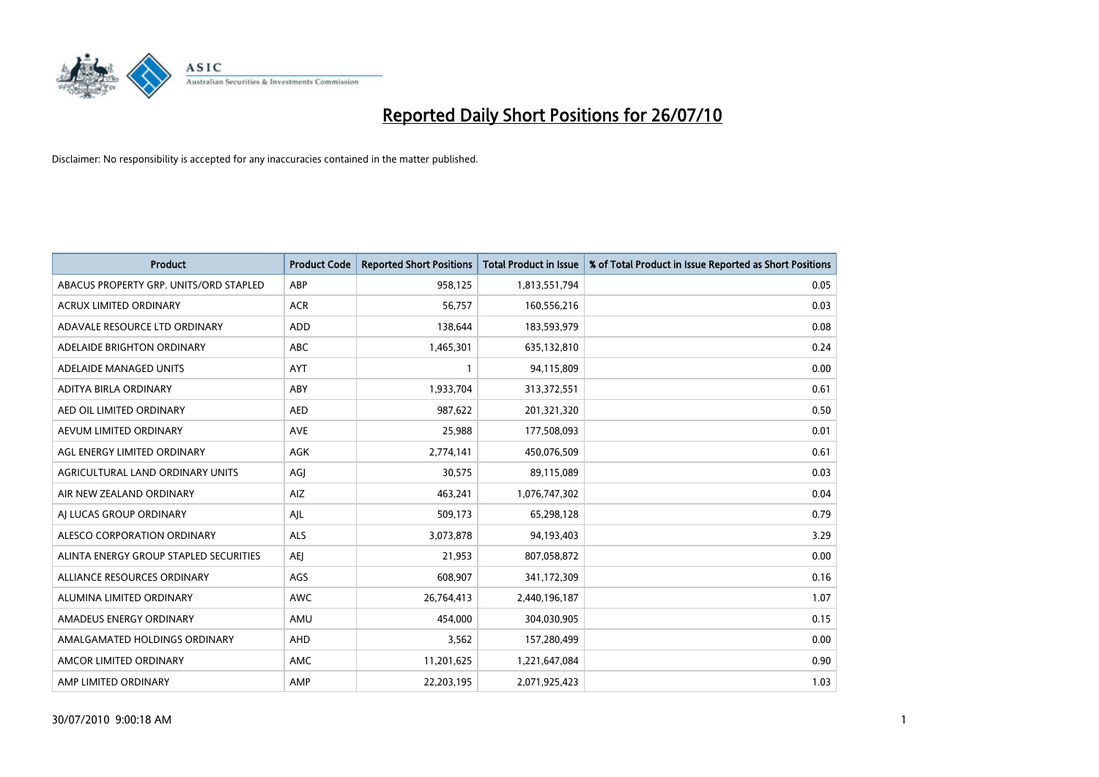

| <b>Product</b>                         | <b>Product Code</b> | <b>Reported Short Positions</b> | <b>Total Product in Issue</b> | % of Total Product in Issue Reported as Short Positions |
|----------------------------------------|---------------------|---------------------------------|-------------------------------|---------------------------------------------------------|
| ABACUS PROPERTY GRP. UNITS/ORD STAPLED | ABP                 | 958,125                         | 1,813,551,794                 | 0.05                                                    |
| ACRUX LIMITED ORDINARY                 | <b>ACR</b>          | 56,757                          | 160,556,216                   | 0.03                                                    |
| ADAVALE RESOURCE LTD ORDINARY          | <b>ADD</b>          | 138,644                         | 183,593,979                   | 0.08                                                    |
| ADELAIDE BRIGHTON ORDINARY             | ABC                 | 1,465,301                       | 635,132,810                   | 0.24                                                    |
| ADELAIDE MANAGED UNITS                 | AYT                 |                                 | 94,115,809                    | 0.00                                                    |
| ADITYA BIRLA ORDINARY                  | ABY                 | 1,933,704                       | 313,372,551                   | 0.61                                                    |
| AED OIL LIMITED ORDINARY               | <b>AED</b>          | 987,622                         | 201,321,320                   | 0.50                                                    |
| AEVUM LIMITED ORDINARY                 | <b>AVE</b>          | 25,988                          | 177,508,093                   | 0.01                                                    |
| AGL ENERGY LIMITED ORDINARY            | AGK                 | 2,774,141                       | 450,076,509                   | 0.61                                                    |
| AGRICULTURAL LAND ORDINARY UNITS       | AGI                 | 30,575                          | 89,115,089                    | 0.03                                                    |
| AIR NEW ZEALAND ORDINARY               | AIZ                 | 463,241                         | 1,076,747,302                 | 0.04                                                    |
| AI LUCAS GROUP ORDINARY                | AJL                 | 509,173                         | 65,298,128                    | 0.79                                                    |
| ALESCO CORPORATION ORDINARY            | <b>ALS</b>          | 3,073,878                       | 94,193,403                    | 3.29                                                    |
| ALINTA ENERGY GROUP STAPLED SECURITIES | <b>AEI</b>          | 21,953                          | 807,058,872                   | 0.00                                                    |
| ALLIANCE RESOURCES ORDINARY            | AGS                 | 608,907                         | 341,172,309                   | 0.16                                                    |
| ALUMINA LIMITED ORDINARY               | AWC                 | 26,764,413                      | 2,440,196,187                 | 1.07                                                    |
| AMADEUS ENERGY ORDINARY                | AMU                 | 454.000                         | 304,030,905                   | 0.15                                                    |
| AMALGAMATED HOLDINGS ORDINARY          | <b>AHD</b>          | 3,562                           | 157,280,499                   | 0.00                                                    |
| AMCOR LIMITED ORDINARY                 | <b>AMC</b>          | 11,201,625                      | 1,221,647,084                 | 0.90                                                    |
| AMP LIMITED ORDINARY                   | AMP                 | 22,203,195                      | 2,071,925,423                 | 1.03                                                    |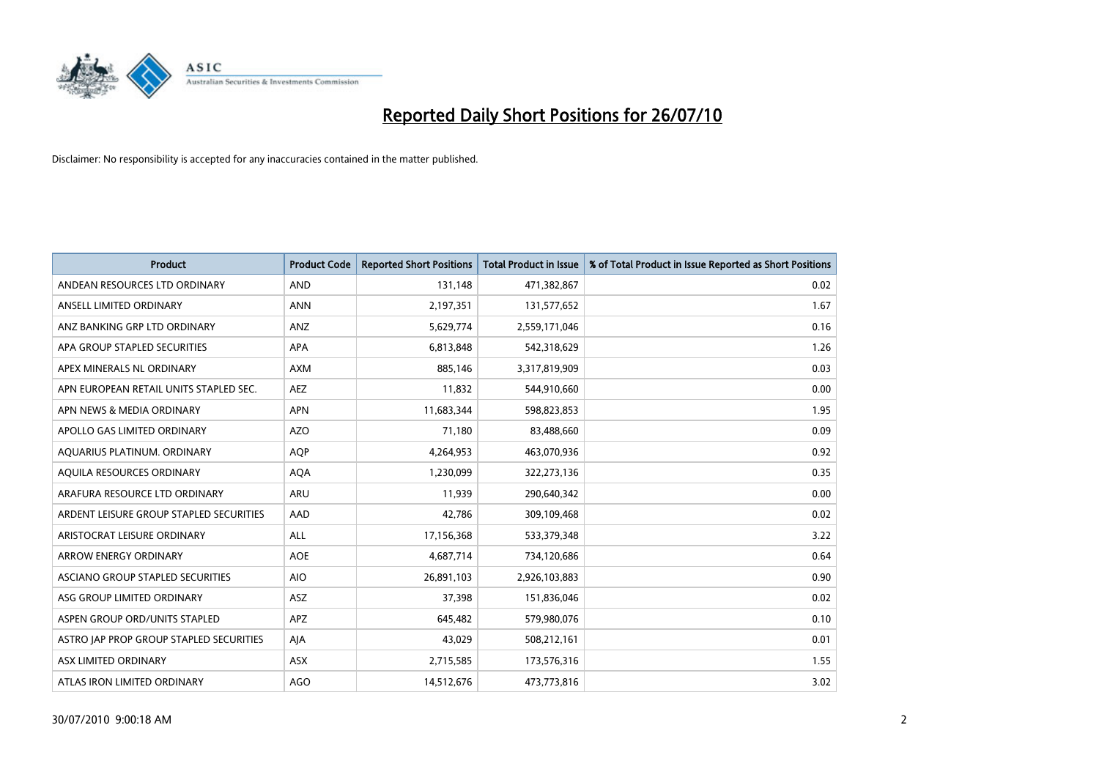

| <b>Product</b>                          | <b>Product Code</b> | <b>Reported Short Positions</b> | <b>Total Product in Issue</b> | % of Total Product in Issue Reported as Short Positions |
|-----------------------------------------|---------------------|---------------------------------|-------------------------------|---------------------------------------------------------|
| ANDEAN RESOURCES LTD ORDINARY           | <b>AND</b>          | 131,148                         | 471,382,867                   | 0.02                                                    |
| ANSELL LIMITED ORDINARY                 | <b>ANN</b>          | 2,197,351                       | 131,577,652                   | 1.67                                                    |
| ANZ BANKING GRP LTD ORDINARY            | ANZ                 | 5,629,774                       | 2,559,171,046                 | 0.16                                                    |
| APA GROUP STAPLED SECURITIES            | <b>APA</b>          | 6,813,848                       | 542,318,629                   | 1.26                                                    |
| APEX MINERALS NL ORDINARY               | <b>AXM</b>          | 885,146                         | 3,317,819,909                 | 0.03                                                    |
| APN EUROPEAN RETAIL UNITS STAPLED SEC.  | <b>AEZ</b>          | 11,832                          | 544,910,660                   | 0.00                                                    |
| APN NEWS & MEDIA ORDINARY               | <b>APN</b>          | 11,683,344                      | 598,823,853                   | 1.95                                                    |
| APOLLO GAS LIMITED ORDINARY             | <b>AZO</b>          | 71,180                          | 83,488,660                    | 0.09                                                    |
| AQUARIUS PLATINUM. ORDINARY             | <b>AQP</b>          | 4,264,953                       | 463,070,936                   | 0.92                                                    |
| AQUILA RESOURCES ORDINARY               | <b>AQA</b>          | 1,230,099                       | 322,273,136                   | 0.35                                                    |
| ARAFURA RESOURCE LTD ORDINARY           | ARU                 | 11,939                          | 290,640,342                   | 0.00                                                    |
| ARDENT LEISURE GROUP STAPLED SECURITIES | AAD                 | 42,786                          | 309,109,468                   | 0.02                                                    |
| ARISTOCRAT LEISURE ORDINARY             | ALL                 | 17,156,368                      | 533,379,348                   | 3.22                                                    |
| ARROW ENERGY ORDINARY                   | <b>AOE</b>          | 4,687,714                       | 734,120,686                   | 0.64                                                    |
| ASCIANO GROUP STAPLED SECURITIES        | <b>AIO</b>          | 26,891,103                      | 2,926,103,883                 | 0.90                                                    |
| ASG GROUP LIMITED ORDINARY              | <b>ASZ</b>          | 37,398                          | 151,836,046                   | 0.02                                                    |
| ASPEN GROUP ORD/UNITS STAPLED           | APZ                 | 645,482                         | 579,980,076                   | 0.10                                                    |
| ASTRO JAP PROP GROUP STAPLED SECURITIES | AJA                 | 43,029                          | 508,212,161                   | 0.01                                                    |
| ASX LIMITED ORDINARY                    | ASX                 | 2,715,585                       | 173,576,316                   | 1.55                                                    |
| ATLAS IRON LIMITED ORDINARY             | <b>AGO</b>          | 14,512,676                      | 473,773,816                   | 3.02                                                    |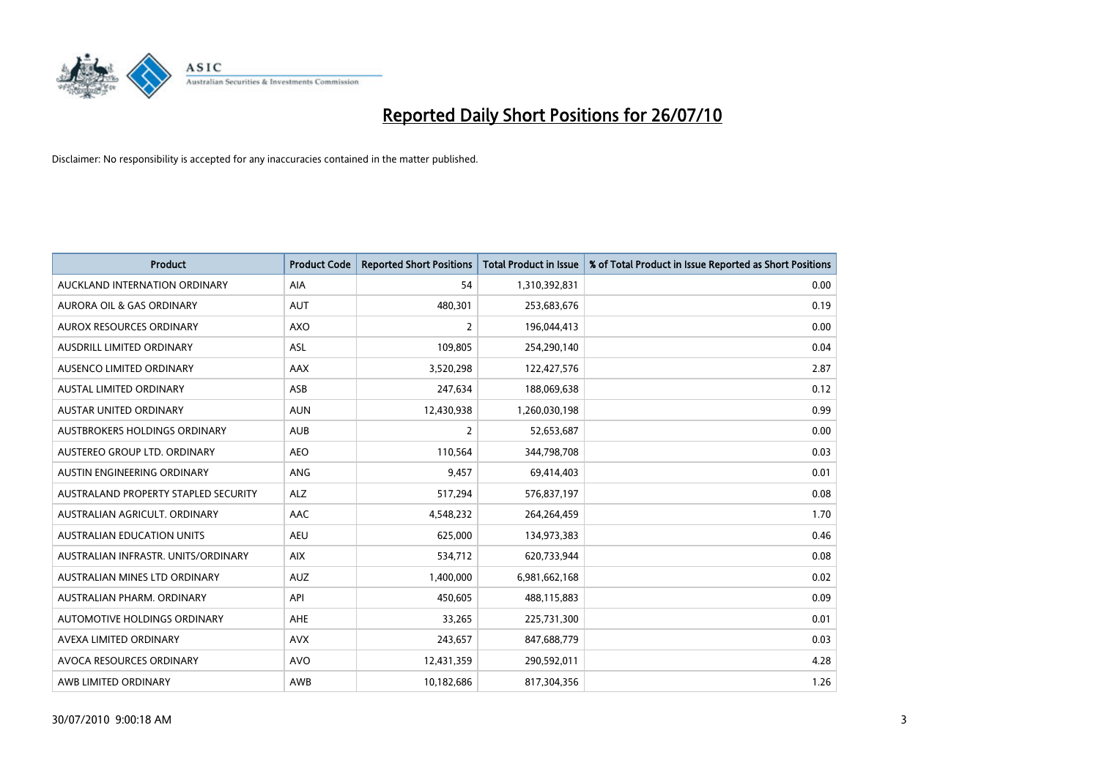

| <b>Product</b>                       | <b>Product Code</b> | <b>Reported Short Positions</b> | <b>Total Product in Issue</b> | % of Total Product in Issue Reported as Short Positions |
|--------------------------------------|---------------------|---------------------------------|-------------------------------|---------------------------------------------------------|
| AUCKLAND INTERNATION ORDINARY        | <b>AIA</b>          | 54                              | 1,310,392,831                 | 0.00                                                    |
| AURORA OIL & GAS ORDINARY            | <b>AUT</b>          | 480,301                         | 253,683,676                   | 0.19                                                    |
| <b>AUROX RESOURCES ORDINARY</b>      | <b>AXO</b>          | $\overline{2}$                  | 196,044,413                   | 0.00                                                    |
| AUSDRILL LIMITED ORDINARY            | <b>ASL</b>          | 109,805                         | 254,290,140                   | 0.04                                                    |
| AUSENCO LIMITED ORDINARY             | <b>AAX</b>          | 3,520,298                       | 122,427,576                   | 2.87                                                    |
| <b>AUSTAL LIMITED ORDINARY</b>       | ASB                 | 247,634                         | 188,069,638                   | 0.12                                                    |
| <b>AUSTAR UNITED ORDINARY</b>        | <b>AUN</b>          | 12,430,938                      | 1,260,030,198                 | 0.99                                                    |
| AUSTBROKERS HOLDINGS ORDINARY        | <b>AUB</b>          | $\overline{2}$                  | 52,653,687                    | 0.00                                                    |
| AUSTEREO GROUP LTD. ORDINARY         | <b>AEO</b>          | 110,564                         | 344,798,708                   | 0.03                                                    |
| AUSTIN ENGINEERING ORDINARY          | ANG                 | 9.457                           | 69,414,403                    | 0.01                                                    |
| AUSTRALAND PROPERTY STAPLED SECURITY | <b>ALZ</b>          | 517,294                         | 576,837,197                   | 0.08                                                    |
| AUSTRALIAN AGRICULT, ORDINARY        | <b>AAC</b>          | 4,548,232                       | 264,264,459                   | 1.70                                                    |
| <b>AUSTRALIAN EDUCATION UNITS</b>    | <b>AEU</b>          | 625,000                         | 134,973,383                   | 0.46                                                    |
| AUSTRALIAN INFRASTR, UNITS/ORDINARY  | <b>AIX</b>          | 534,712                         | 620,733,944                   | 0.08                                                    |
| AUSTRALIAN MINES LTD ORDINARY        | <b>AUZ</b>          | 1,400,000                       | 6,981,662,168                 | 0.02                                                    |
| AUSTRALIAN PHARM. ORDINARY           | API                 | 450,605                         | 488,115,883                   | 0.09                                                    |
| AUTOMOTIVE HOLDINGS ORDINARY         | <b>AHE</b>          | 33,265                          | 225,731,300                   | 0.01                                                    |
| AVEXA LIMITED ORDINARY               | <b>AVX</b>          | 243,657                         | 847,688,779                   | 0.03                                                    |
| AVOCA RESOURCES ORDINARY             | <b>AVO</b>          | 12,431,359                      | 290,592,011                   | 4.28                                                    |
| AWB LIMITED ORDINARY                 | AWB                 | 10,182,686                      | 817,304,356                   | 1.26                                                    |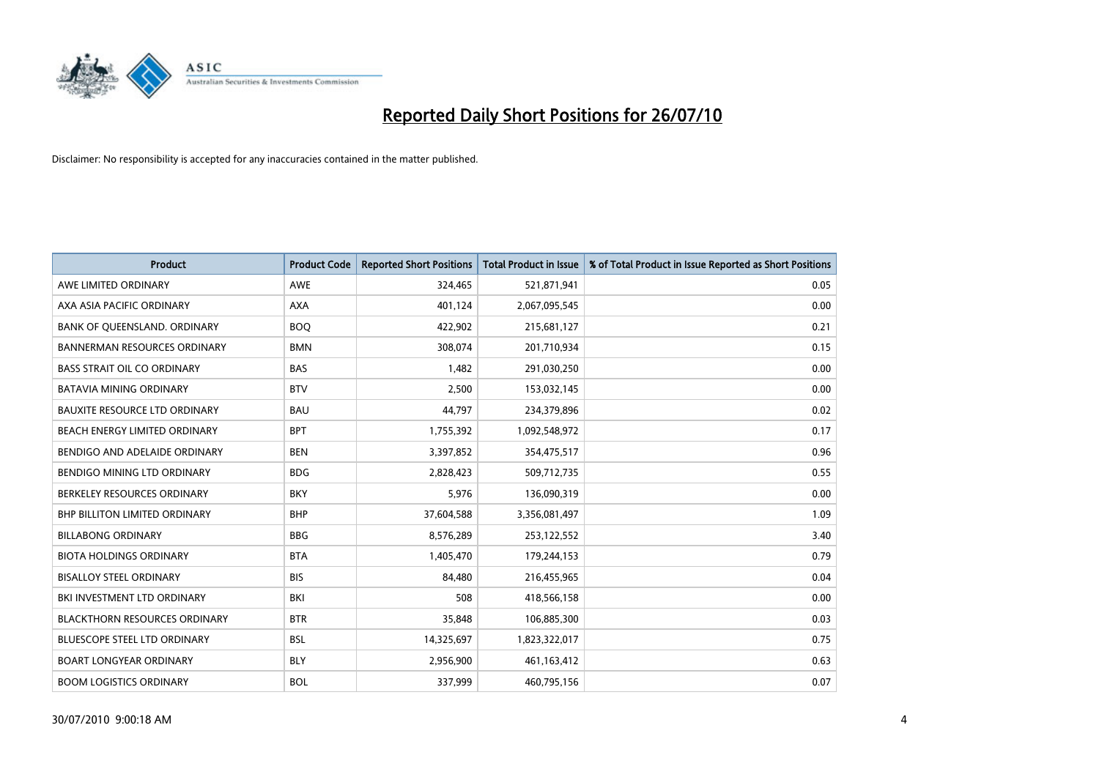

| <b>Product</b>                       | <b>Product Code</b> | <b>Reported Short Positions</b> | <b>Total Product in Issue</b> | % of Total Product in Issue Reported as Short Positions |
|--------------------------------------|---------------------|---------------------------------|-------------------------------|---------------------------------------------------------|
| AWE LIMITED ORDINARY                 | <b>AWE</b>          | 324,465                         | 521,871,941                   | 0.05                                                    |
| AXA ASIA PACIFIC ORDINARY            | <b>AXA</b>          | 401,124                         | 2,067,095,545                 | 0.00                                                    |
| BANK OF QUEENSLAND. ORDINARY         | <b>BOO</b>          | 422,902                         | 215,681,127                   | 0.21                                                    |
| <b>BANNERMAN RESOURCES ORDINARY</b>  | <b>BMN</b>          | 308,074                         | 201,710,934                   | 0.15                                                    |
| <b>BASS STRAIT OIL CO ORDINARY</b>   | <b>BAS</b>          | 1,482                           | 291,030,250                   | 0.00                                                    |
| <b>BATAVIA MINING ORDINARY</b>       | <b>BTV</b>          | 2,500                           | 153,032,145                   | 0.00                                                    |
| <b>BAUXITE RESOURCE LTD ORDINARY</b> | <b>BAU</b>          | 44.797                          | 234,379,896                   | 0.02                                                    |
| BEACH ENERGY LIMITED ORDINARY        | <b>BPT</b>          | 1,755,392                       | 1,092,548,972                 | 0.17                                                    |
| BENDIGO AND ADELAIDE ORDINARY        | <b>BEN</b>          | 3,397,852                       | 354,475,517                   | 0.96                                                    |
| BENDIGO MINING LTD ORDINARY          | <b>BDG</b>          | 2,828,423                       | 509,712,735                   | 0.55                                                    |
| BERKELEY RESOURCES ORDINARY          | <b>BKY</b>          | 5,976                           | 136,090,319                   | 0.00                                                    |
| <b>BHP BILLITON LIMITED ORDINARY</b> | <b>BHP</b>          | 37,604,588                      | 3,356,081,497                 | 1.09                                                    |
| <b>BILLABONG ORDINARY</b>            | <b>BBG</b>          | 8,576,289                       | 253,122,552                   | 3.40                                                    |
| <b>BIOTA HOLDINGS ORDINARY</b>       | <b>BTA</b>          | 1,405,470                       | 179,244,153                   | 0.79                                                    |
| <b>BISALLOY STEEL ORDINARY</b>       | <b>BIS</b>          | 84,480                          | 216,455,965                   | 0.04                                                    |
| BKI INVESTMENT LTD ORDINARY          | BKI                 | 508                             | 418,566,158                   | 0.00                                                    |
| <b>BLACKTHORN RESOURCES ORDINARY</b> | <b>BTR</b>          | 35,848                          | 106,885,300                   | 0.03                                                    |
| BLUESCOPE STEEL LTD ORDINARY         | <b>BSL</b>          | 14,325,697                      | 1,823,322,017                 | 0.75                                                    |
| <b>BOART LONGYEAR ORDINARY</b>       | <b>BLY</b>          | 2,956,900                       | 461,163,412                   | 0.63                                                    |
| <b>BOOM LOGISTICS ORDINARY</b>       | <b>BOL</b>          | 337.999                         | 460,795,156                   | 0.07                                                    |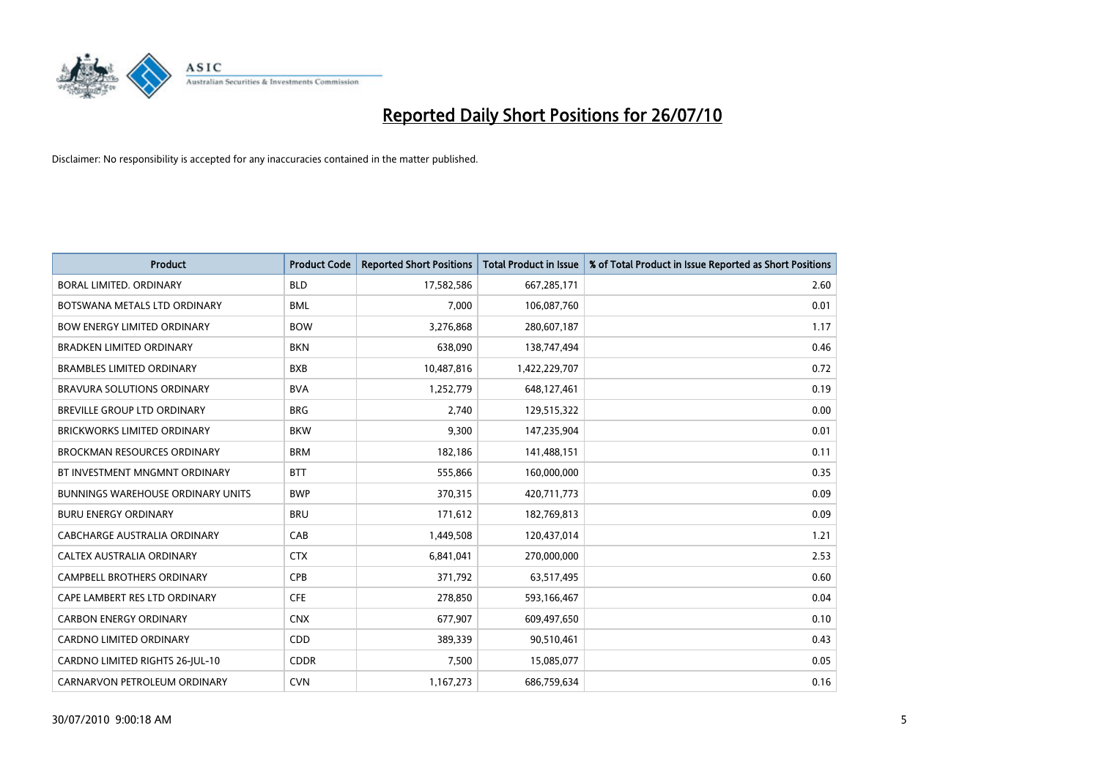

| <b>Product</b>                           | <b>Product Code</b> | <b>Reported Short Positions</b> | <b>Total Product in Issue</b> | % of Total Product in Issue Reported as Short Positions |
|------------------------------------------|---------------------|---------------------------------|-------------------------------|---------------------------------------------------------|
| BORAL LIMITED. ORDINARY                  | <b>BLD</b>          | 17,582,586                      | 667,285,171                   | 2.60                                                    |
| BOTSWANA METALS LTD ORDINARY             | <b>BML</b>          | 7,000                           | 106,087,760                   | 0.01                                                    |
| <b>BOW ENERGY LIMITED ORDINARY</b>       | <b>BOW</b>          | 3,276,868                       | 280,607,187                   | 1.17                                                    |
| <b>BRADKEN LIMITED ORDINARY</b>          | <b>BKN</b>          | 638,090                         | 138,747,494                   | 0.46                                                    |
| <b>BRAMBLES LIMITED ORDINARY</b>         | <b>BXB</b>          | 10,487,816                      | 1,422,229,707                 | 0.72                                                    |
| BRAVURA SOLUTIONS ORDINARY               | <b>BVA</b>          | 1,252,779                       | 648,127,461                   | 0.19                                                    |
| BREVILLE GROUP LTD ORDINARY              | <b>BRG</b>          | 2,740                           | 129,515,322                   | 0.00                                                    |
| <b>BRICKWORKS LIMITED ORDINARY</b>       | <b>BKW</b>          | 9,300                           | 147,235,904                   | 0.01                                                    |
| <b>BROCKMAN RESOURCES ORDINARY</b>       | <b>BRM</b>          | 182,186                         | 141,488,151                   | 0.11                                                    |
| BT INVESTMENT MNGMNT ORDINARY            | <b>BTT</b>          | 555,866                         | 160,000,000                   | 0.35                                                    |
| <b>BUNNINGS WAREHOUSE ORDINARY UNITS</b> | <b>BWP</b>          | 370,315                         | 420,711,773                   | 0.09                                                    |
| <b>BURU ENERGY ORDINARY</b>              | <b>BRU</b>          | 171,612                         | 182,769,813                   | 0.09                                                    |
| CABCHARGE AUSTRALIA ORDINARY             | CAB                 | 1,449,508                       | 120,437,014                   | 1.21                                                    |
| <b>CALTEX AUSTRALIA ORDINARY</b>         | <b>CTX</b>          | 6,841,041                       | 270,000,000                   | 2.53                                                    |
| <b>CAMPBELL BROTHERS ORDINARY</b>        | <b>CPB</b>          | 371,792                         | 63,517,495                    | 0.60                                                    |
| CAPE LAMBERT RES LTD ORDINARY            | <b>CFE</b>          | 278,850                         | 593,166,467                   | 0.04                                                    |
| <b>CARBON ENERGY ORDINARY</b>            | <b>CNX</b>          | 677,907                         | 609,497,650                   | 0.10                                                    |
| CARDNO LIMITED ORDINARY                  | CDD                 | 389,339                         | 90,510,461                    | 0.43                                                    |
| CARDNO LIMITED RIGHTS 26-JUL-10          | <b>CDDR</b>         | 7,500                           | 15,085,077                    | 0.05                                                    |
| CARNARVON PETROLEUM ORDINARY             | <b>CVN</b>          | 1,167,273                       | 686,759,634                   | 0.16                                                    |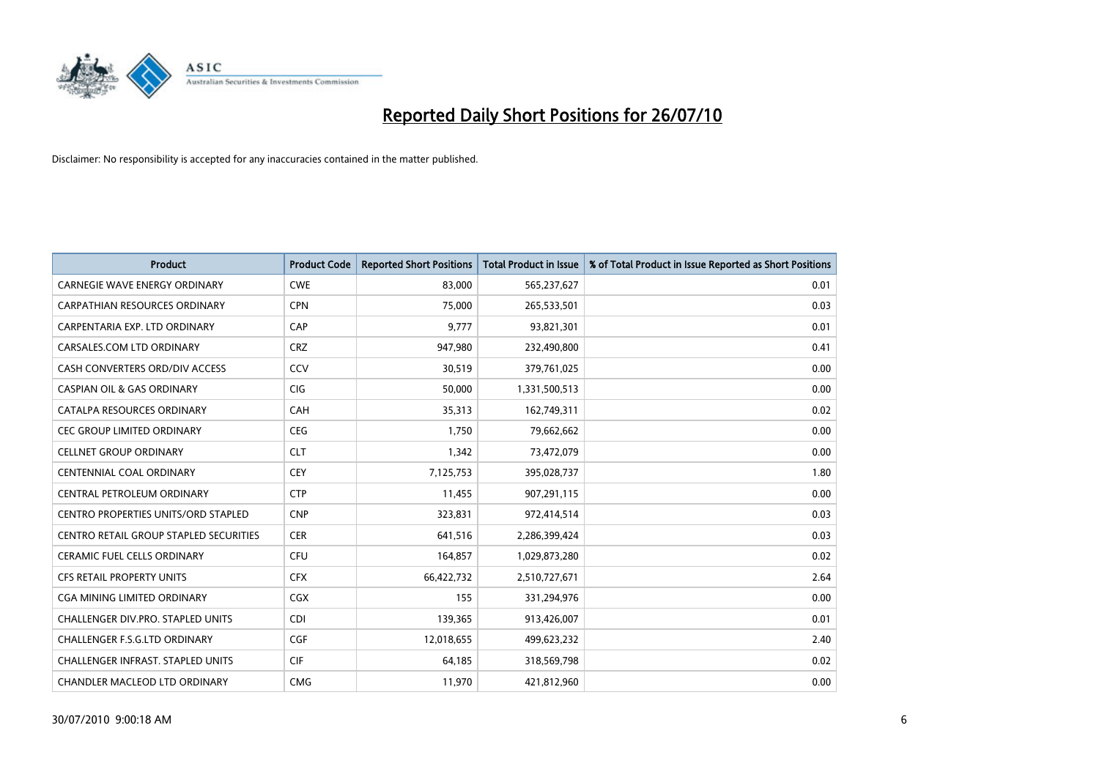

| <b>Product</b>                                | <b>Product Code</b> | <b>Reported Short Positions</b> | Total Product in Issue | % of Total Product in Issue Reported as Short Positions |
|-----------------------------------------------|---------------------|---------------------------------|------------------------|---------------------------------------------------------|
| <b>CARNEGIE WAVE ENERGY ORDINARY</b>          | <b>CWE</b>          | 83.000                          | 565,237,627            | 0.01                                                    |
| CARPATHIAN RESOURCES ORDINARY                 | <b>CPN</b>          | 75,000                          | 265,533,501            | 0.03                                                    |
| CARPENTARIA EXP. LTD ORDINARY                 | CAP                 | 9.777                           | 93,821,301             | 0.01                                                    |
| CARSALES.COM LTD ORDINARY                     | <b>CRZ</b>          | 947,980                         | 232,490,800            | 0.41                                                    |
| CASH CONVERTERS ORD/DIV ACCESS                | CCV                 | 30,519                          | 379,761,025            | 0.00                                                    |
| <b>CASPIAN OIL &amp; GAS ORDINARY</b>         | <b>CIG</b>          | 50,000                          | 1,331,500,513          | 0.00                                                    |
| CATALPA RESOURCES ORDINARY                    | CAH                 | 35,313                          | 162,749,311            | 0.02                                                    |
| <b>CEC GROUP LIMITED ORDINARY</b>             | <b>CEG</b>          | 1,750                           | 79,662,662             | 0.00                                                    |
| <b>CELLNET GROUP ORDINARY</b>                 | <b>CLT</b>          | 1,342                           | 73,472,079             | 0.00                                                    |
| <b>CENTENNIAL COAL ORDINARY</b>               | <b>CEY</b>          | 7,125,753                       | 395,028,737            | 1.80                                                    |
| CENTRAL PETROLEUM ORDINARY                    | <b>CTP</b>          | 11,455                          | 907,291,115            | 0.00                                                    |
| <b>CENTRO PROPERTIES UNITS/ORD STAPLED</b>    | <b>CNP</b>          | 323,831                         | 972,414,514            | 0.03                                                    |
| <b>CENTRO RETAIL GROUP STAPLED SECURITIES</b> | <b>CER</b>          | 641,516                         | 2,286,399,424          | 0.03                                                    |
| <b>CERAMIC FUEL CELLS ORDINARY</b>            | <b>CFU</b>          | 164,857                         | 1,029,873,280          | 0.02                                                    |
| <b>CFS RETAIL PROPERTY UNITS</b>              | <b>CFX</b>          | 66,422,732                      | 2,510,727,671          | 2.64                                                    |
| CGA MINING LIMITED ORDINARY                   | CGX                 | 155                             | 331,294,976            | 0.00                                                    |
| CHALLENGER DIV.PRO. STAPLED UNITS             | <b>CDI</b>          | 139,365                         | 913,426,007            | 0.01                                                    |
| CHALLENGER F.S.G.LTD ORDINARY                 | <b>CGF</b>          | 12,018,655                      | 499,623,232            | 2.40                                                    |
| <b>CHALLENGER INFRAST, STAPLED UNITS</b>      | <b>CIF</b>          | 64,185                          | 318,569,798            | 0.02                                                    |
| CHANDLER MACLEOD LTD ORDINARY                 | <b>CMG</b>          | 11,970                          | 421,812,960            | 0.00                                                    |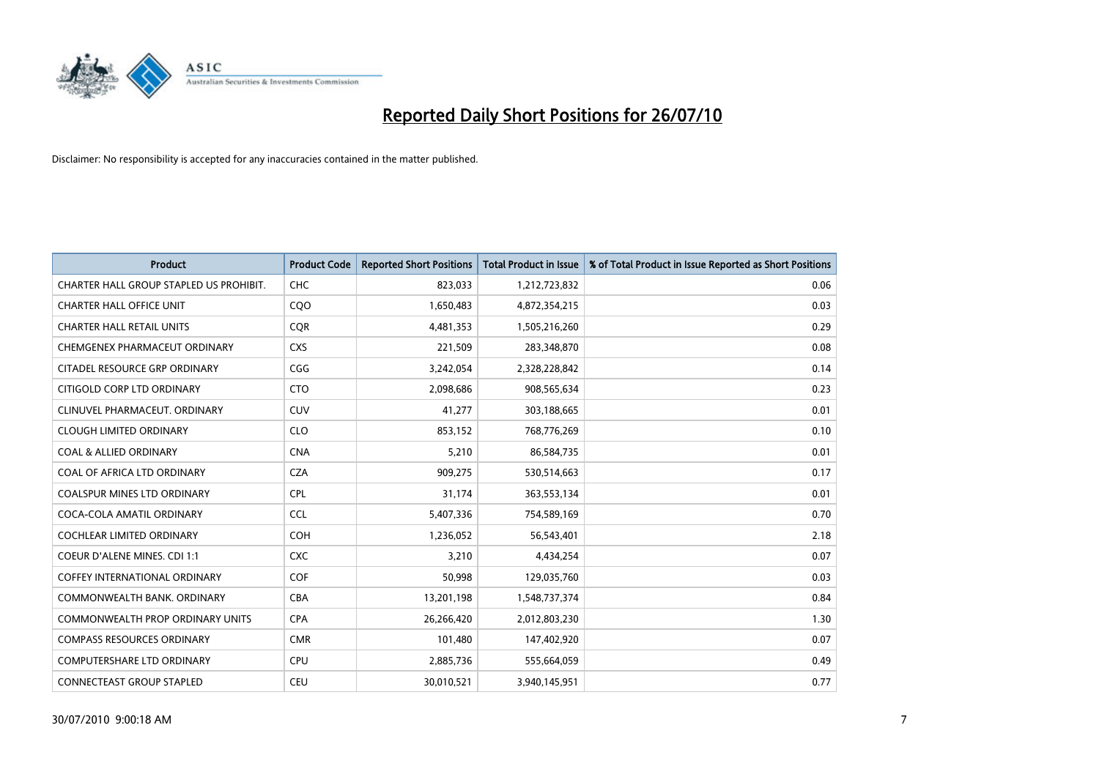

| <b>Product</b>                          | <b>Product Code</b> | <b>Reported Short Positions</b> | <b>Total Product in Issue</b> | % of Total Product in Issue Reported as Short Positions |
|-----------------------------------------|---------------------|---------------------------------|-------------------------------|---------------------------------------------------------|
| CHARTER HALL GROUP STAPLED US PROHIBIT. | <b>CHC</b>          | 823,033                         | 1,212,723,832                 | 0.06                                                    |
| <b>CHARTER HALL OFFICE UNIT</b>         | CQO                 | 1,650,483                       | 4,872,354,215                 | 0.03                                                    |
| <b>CHARTER HALL RETAIL UNITS</b>        | <b>COR</b>          | 4,481,353                       | 1,505,216,260                 | 0.29                                                    |
| CHEMGENEX PHARMACEUT ORDINARY           | <b>CXS</b>          | 221,509                         | 283,348,870                   | 0.08                                                    |
| CITADEL RESOURCE GRP ORDINARY           | CGG                 | 3,242,054                       | 2,328,228,842                 | 0.14                                                    |
| CITIGOLD CORP LTD ORDINARY              | <b>CTO</b>          | 2,098,686                       | 908,565,634                   | 0.23                                                    |
| CLINUVEL PHARMACEUT. ORDINARY           | <b>CUV</b>          | 41,277                          | 303,188,665                   | 0.01                                                    |
| <b>CLOUGH LIMITED ORDINARY</b>          | <b>CLO</b>          | 853,152                         | 768,776,269                   | 0.10                                                    |
| <b>COAL &amp; ALLIED ORDINARY</b>       | <b>CNA</b>          | 5,210                           | 86,584,735                    | 0.01                                                    |
| COAL OF AFRICA LTD ORDINARY             | <b>CZA</b>          | 909,275                         | 530,514,663                   | 0.17                                                    |
| COALSPUR MINES LTD ORDINARY             | <b>CPL</b>          | 31,174                          | 363,553,134                   | 0.01                                                    |
| COCA-COLA AMATIL ORDINARY               | CCL                 | 5,407,336                       | 754,589,169                   | 0.70                                                    |
| <b>COCHLEAR LIMITED ORDINARY</b>        | COH                 | 1,236,052                       | 56,543,401                    | 2.18                                                    |
| <b>COEUR D'ALENE MINES. CDI 1:1</b>     | <b>CXC</b>          | 3,210                           | 4,434,254                     | 0.07                                                    |
| <b>COFFEY INTERNATIONAL ORDINARY</b>    | COF                 | 50,998                          | 129,035,760                   | 0.03                                                    |
| COMMONWEALTH BANK, ORDINARY             | CBA                 | 13,201,198                      | 1,548,737,374                 | 0.84                                                    |
| COMMONWEALTH PROP ORDINARY UNITS        | <b>CPA</b>          | 26,266,420                      | 2,012,803,230                 | 1.30                                                    |
| <b>COMPASS RESOURCES ORDINARY</b>       | <b>CMR</b>          | 101,480                         | 147,402,920                   | 0.07                                                    |
| <b>COMPUTERSHARE LTD ORDINARY</b>       | <b>CPU</b>          | 2,885,736                       | 555,664,059                   | 0.49                                                    |
| <b>CONNECTEAST GROUP STAPLED</b>        | <b>CEU</b>          | 30,010,521                      | 3,940,145,951                 | 0.77                                                    |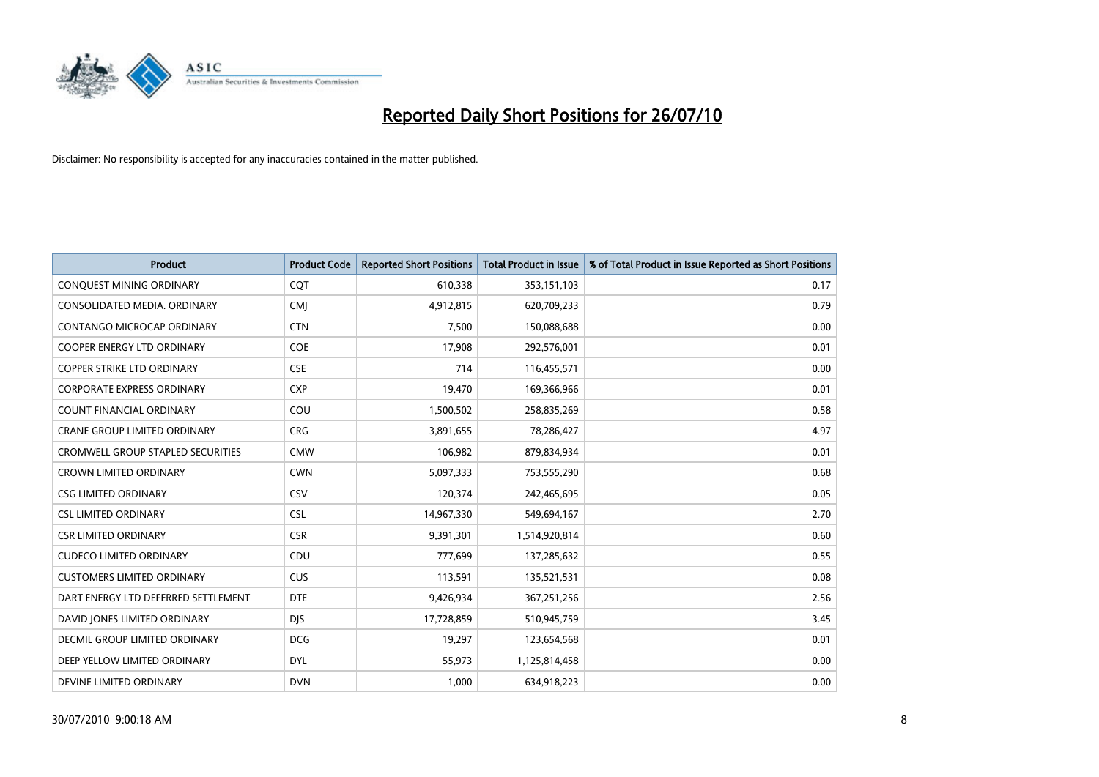

| <b>Product</b>                      | <b>Product Code</b> | <b>Reported Short Positions</b> | Total Product in Issue | % of Total Product in Issue Reported as Short Positions |
|-------------------------------------|---------------------|---------------------------------|------------------------|---------------------------------------------------------|
| CONQUEST MINING ORDINARY            | CQT                 | 610,338                         | 353,151,103            | 0.17                                                    |
| CONSOLIDATED MEDIA. ORDINARY        | <b>CMI</b>          | 4,912,815                       | 620,709,233            | 0.79                                                    |
| CONTANGO MICROCAP ORDINARY          | <b>CTN</b>          | 7,500                           | 150,088,688            | 0.00                                                    |
| COOPER ENERGY LTD ORDINARY          | <b>COE</b>          | 17,908                          | 292,576,001            | 0.01                                                    |
| <b>COPPER STRIKE LTD ORDINARY</b>   | <b>CSE</b>          | 714                             | 116,455,571            | 0.00                                                    |
| <b>CORPORATE EXPRESS ORDINARY</b>   | <b>CXP</b>          | 19,470                          | 169,366,966            | 0.01                                                    |
| <b>COUNT FINANCIAL ORDINARY</b>     | COU                 | 1,500,502                       | 258,835,269            | 0.58                                                    |
| CRANE GROUP LIMITED ORDINARY        | <b>CRG</b>          | 3,891,655                       | 78,286,427             | 4.97                                                    |
| CROMWELL GROUP STAPLED SECURITIES   | <b>CMW</b>          | 106,982                         | 879,834,934            | 0.01                                                    |
| <b>CROWN LIMITED ORDINARY</b>       | <b>CWN</b>          | 5,097,333                       | 753,555,290            | 0.68                                                    |
| <b>CSG LIMITED ORDINARY</b>         | CSV                 | 120,374                         | 242,465,695            | 0.05                                                    |
| <b>CSL LIMITED ORDINARY</b>         | <b>CSL</b>          | 14,967,330                      | 549,694,167            | 2.70                                                    |
| <b>CSR LIMITED ORDINARY</b>         | <b>CSR</b>          | 9,391,301                       | 1,514,920,814          | 0.60                                                    |
| <b>CUDECO LIMITED ORDINARY</b>      | CDU                 | 777,699                         | 137,285,632            | 0.55                                                    |
| <b>CUSTOMERS LIMITED ORDINARY</b>   | <b>CUS</b>          | 113,591                         | 135,521,531            | 0.08                                                    |
| DART ENERGY LTD DEFERRED SETTLEMENT | <b>DTE</b>          | 9,426,934                       | 367,251,256            | 2.56                                                    |
| DAVID JONES LIMITED ORDINARY        | <b>DJS</b>          | 17,728,859                      | 510,945,759            | 3.45                                                    |
| DECMIL GROUP LIMITED ORDINARY       | <b>DCG</b>          | 19,297                          | 123,654,568            | 0.01                                                    |
| DEEP YELLOW LIMITED ORDINARY        | <b>DYL</b>          | 55,973                          | 1,125,814,458          | 0.00                                                    |
| DEVINE LIMITED ORDINARY             | <b>DVN</b>          | 1,000                           | 634,918,223            | 0.00                                                    |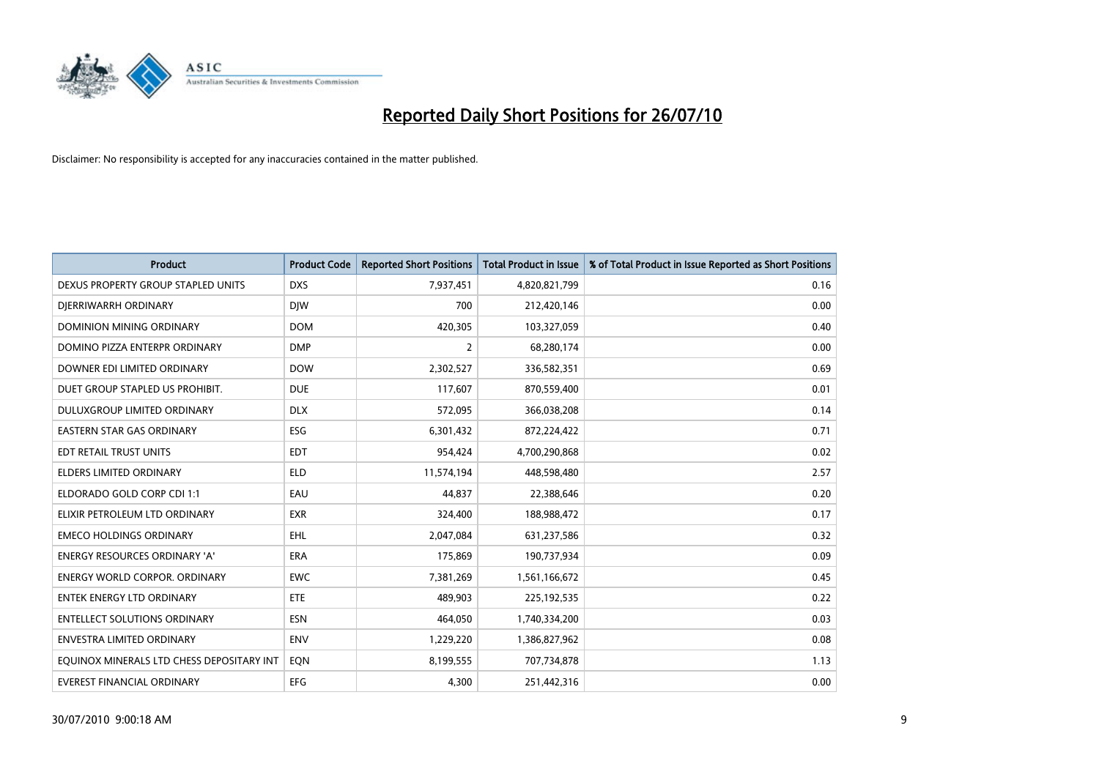

| <b>Product</b>                            | <b>Product Code</b> | <b>Reported Short Positions</b> | <b>Total Product in Issue</b> | % of Total Product in Issue Reported as Short Positions |
|-------------------------------------------|---------------------|---------------------------------|-------------------------------|---------------------------------------------------------|
| DEXUS PROPERTY GROUP STAPLED UNITS        | <b>DXS</b>          | 7,937,451                       | 4,820,821,799                 | 0.16                                                    |
| DIERRIWARRH ORDINARY                      | <b>DIW</b>          | 700                             | 212,420,146                   | 0.00                                                    |
| <b>DOMINION MINING ORDINARY</b>           | <b>DOM</b>          | 420,305                         | 103,327,059                   | 0.40                                                    |
| DOMINO PIZZA ENTERPR ORDINARY             | <b>DMP</b>          | $\overline{2}$                  | 68,280,174                    | 0.00                                                    |
| DOWNER EDI LIMITED ORDINARY               | <b>DOW</b>          | 2,302,527                       | 336,582,351                   | 0.69                                                    |
| DUET GROUP STAPLED US PROHIBIT.           | <b>DUE</b>          | 117,607                         | 870,559,400                   | 0.01                                                    |
| DULUXGROUP LIMITED ORDINARY               | <b>DLX</b>          | 572.095                         | 366,038,208                   | 0.14                                                    |
| <b>EASTERN STAR GAS ORDINARY</b>          | ESG                 | 6,301,432                       | 872,224,422                   | 0.71                                                    |
| EDT RETAIL TRUST UNITS                    | <b>EDT</b>          | 954,424                         | 4,700,290,868                 | 0.02                                                    |
| <b>ELDERS LIMITED ORDINARY</b>            | <b>ELD</b>          | 11,574,194                      | 448,598,480                   | 2.57                                                    |
| ELDORADO GOLD CORP CDI 1:1                | EAU                 | 44,837                          | 22,388,646                    | 0.20                                                    |
| ELIXIR PETROLEUM LTD ORDINARY             | <b>EXR</b>          | 324,400                         | 188,988,472                   | 0.17                                                    |
| <b>EMECO HOLDINGS ORDINARY</b>            | <b>EHL</b>          | 2,047,084                       | 631,237,586                   | 0.32                                                    |
| <b>ENERGY RESOURCES ORDINARY 'A'</b>      | <b>ERA</b>          | 175,869                         | 190,737,934                   | 0.09                                                    |
| <b>ENERGY WORLD CORPOR, ORDINARY</b>      | <b>EWC</b>          | 7,381,269                       | 1,561,166,672                 | 0.45                                                    |
| <b>ENTEK ENERGY LTD ORDINARY</b>          | ETE                 | 489.903                         | 225,192,535                   | 0.22                                                    |
| <b>ENTELLECT SOLUTIONS ORDINARY</b>       | <b>ESN</b>          | 464,050                         | 1,740,334,200                 | 0.03                                                    |
| <b>ENVESTRA LIMITED ORDINARY</b>          | <b>ENV</b>          | 1,229,220                       | 1,386,827,962                 | 0.08                                                    |
| EQUINOX MINERALS LTD CHESS DEPOSITARY INT | EON                 | 8,199,555                       | 707,734,878                   | 1.13                                                    |
| EVEREST FINANCIAL ORDINARY                | EFG                 | 4.300                           | 251,442,316                   | 0.00                                                    |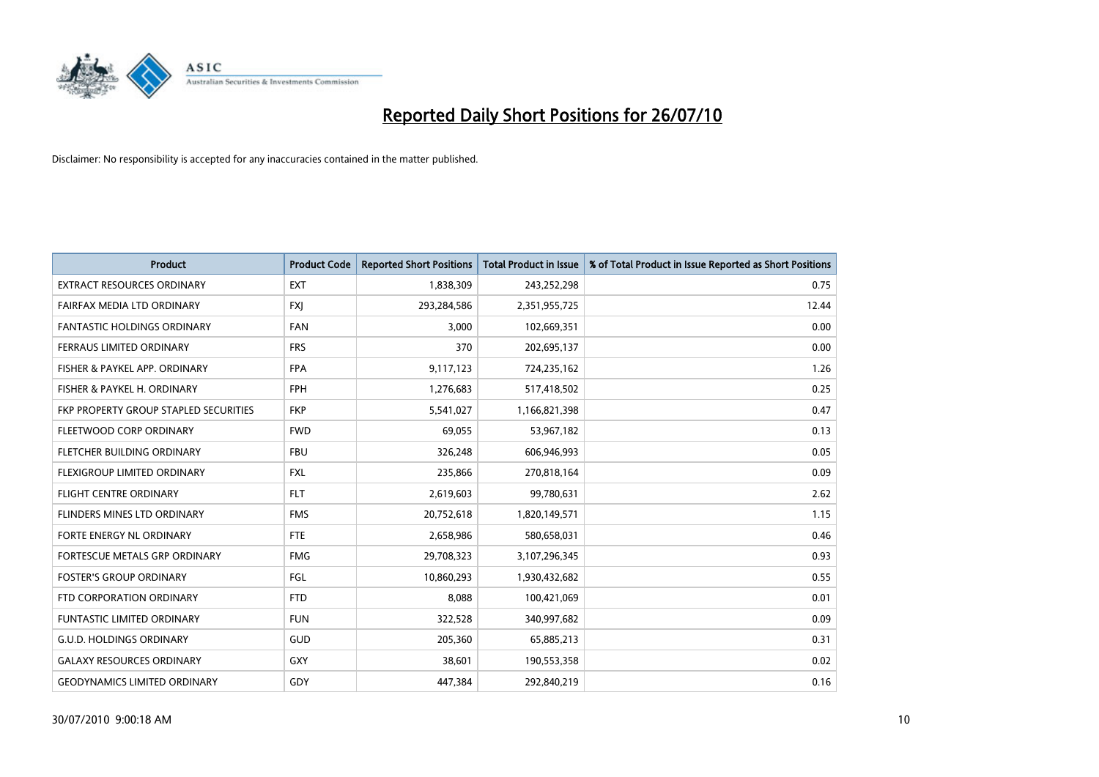

| <b>Product</b>                        | <b>Product Code</b> | <b>Reported Short Positions</b> | <b>Total Product in Issue</b> | % of Total Product in Issue Reported as Short Positions |
|---------------------------------------|---------------------|---------------------------------|-------------------------------|---------------------------------------------------------|
| <b>EXTRACT RESOURCES ORDINARY</b>     | <b>EXT</b>          | 1,838,309                       | 243,252,298                   | 0.75                                                    |
| FAIRFAX MEDIA LTD ORDINARY            | <b>FXI</b>          | 293,284,586                     | 2,351,955,725                 | 12.44                                                   |
| <b>FANTASTIC HOLDINGS ORDINARY</b>    | <b>FAN</b>          | 3,000                           | 102,669,351                   | 0.00                                                    |
| FERRAUS LIMITED ORDINARY              | <b>FRS</b>          | 370                             | 202,695,137                   | 0.00                                                    |
| FISHER & PAYKEL APP. ORDINARY         | <b>FPA</b>          | 9,117,123                       | 724,235,162                   | 1.26                                                    |
| FISHER & PAYKEL H. ORDINARY           | <b>FPH</b>          | 1,276,683                       | 517,418,502                   | 0.25                                                    |
| FKP PROPERTY GROUP STAPLED SECURITIES | <b>FKP</b>          | 5,541,027                       | 1,166,821,398                 | 0.47                                                    |
| FLEETWOOD CORP ORDINARY               | <b>FWD</b>          | 69,055                          | 53,967,182                    | 0.13                                                    |
| FLETCHER BUILDING ORDINARY            | <b>FBU</b>          | 326,248                         | 606,946,993                   | 0.05                                                    |
| FLEXIGROUP LIMITED ORDINARY           | <b>FXL</b>          | 235,866                         | 270,818,164                   | 0.09                                                    |
| FLIGHT CENTRE ORDINARY                | <b>FLT</b>          | 2,619,603                       | 99,780,631                    | 2.62                                                    |
| FLINDERS MINES LTD ORDINARY           | <b>FMS</b>          | 20,752,618                      | 1,820,149,571                 | 1.15                                                    |
| FORTE ENERGY NL ORDINARY              | <b>FTE</b>          | 2,658,986                       | 580,658,031                   | 0.46                                                    |
| FORTESCUE METALS GRP ORDINARY         | <b>FMG</b>          | 29,708,323                      | 3,107,296,345                 | 0.93                                                    |
| <b>FOSTER'S GROUP ORDINARY</b>        | FGL                 | 10,860,293                      | 1,930,432,682                 | 0.55                                                    |
| FTD CORPORATION ORDINARY              | <b>FTD</b>          | 8.088                           | 100,421,069                   | 0.01                                                    |
| <b>FUNTASTIC LIMITED ORDINARY</b>     | <b>FUN</b>          | 322,528                         | 340,997,682                   | 0.09                                                    |
| <b>G.U.D. HOLDINGS ORDINARY</b>       | <b>GUD</b>          | 205,360                         | 65,885,213                    | 0.31                                                    |
| <b>GALAXY RESOURCES ORDINARY</b>      | <b>GXY</b>          | 38,601                          | 190,553,358                   | 0.02                                                    |
| <b>GEODYNAMICS LIMITED ORDINARY</b>   | GDY                 | 447,384                         | 292,840,219                   | 0.16                                                    |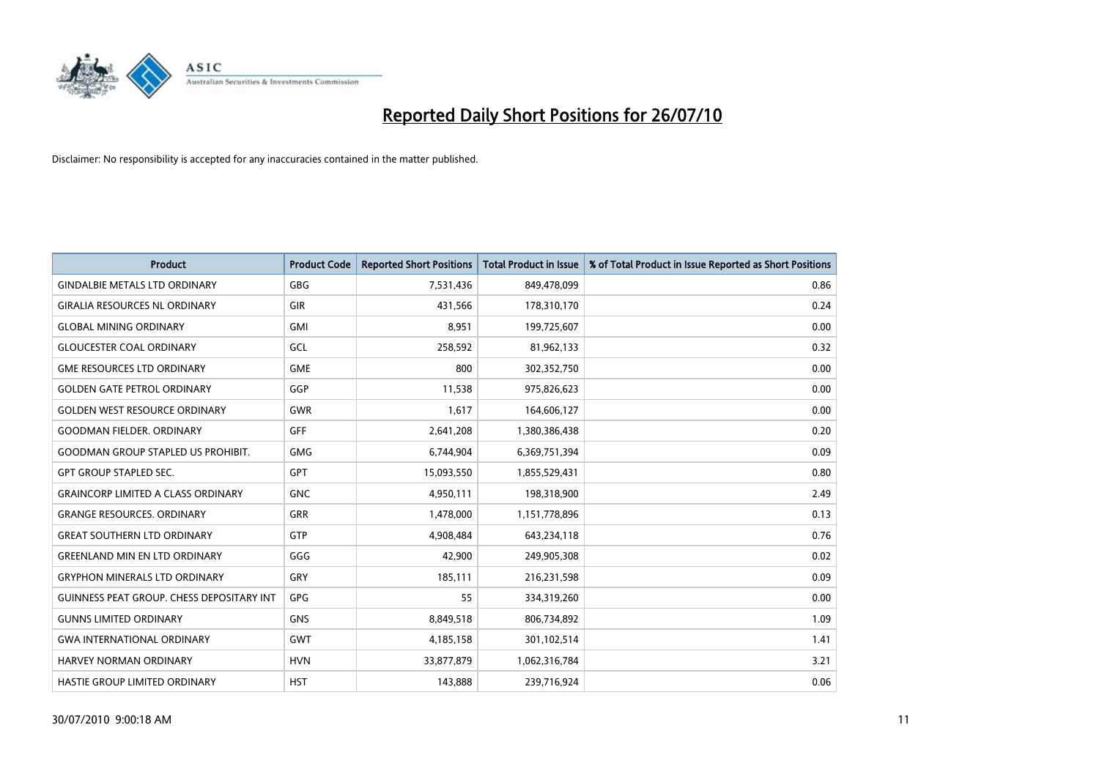

| <b>Product</b>                                   | <b>Product Code</b> | <b>Reported Short Positions</b> | <b>Total Product in Issue</b> | % of Total Product in Issue Reported as Short Positions |
|--------------------------------------------------|---------------------|---------------------------------|-------------------------------|---------------------------------------------------------|
| <b>GINDALBIE METALS LTD ORDINARY</b>             | <b>GBG</b>          | 7,531,436                       | 849,478,099                   | 0.86                                                    |
| <b>GIRALIA RESOURCES NL ORDINARY</b>             | GIR                 | 431,566                         | 178,310,170                   | 0.24                                                    |
| <b>GLOBAL MINING ORDINARY</b>                    | <b>GMI</b>          | 8,951                           | 199,725,607                   | 0.00                                                    |
| <b>GLOUCESTER COAL ORDINARY</b>                  | GCL                 | 258,592                         | 81,962,133                    | 0.32                                                    |
| <b>GME RESOURCES LTD ORDINARY</b>                | <b>GME</b>          | 800                             | 302,352,750                   | 0.00                                                    |
| <b>GOLDEN GATE PETROL ORDINARY</b>               | GGP                 | 11,538                          | 975,826,623                   | 0.00                                                    |
| <b>GOLDEN WEST RESOURCE ORDINARY</b>             | <b>GWR</b>          | 1,617                           | 164,606,127                   | 0.00                                                    |
| <b>GOODMAN FIELDER, ORDINARY</b>                 | <b>GFF</b>          | 2,641,208                       | 1,380,386,438                 | 0.20                                                    |
| <b>GOODMAN GROUP STAPLED US PROHIBIT.</b>        | <b>GMG</b>          | 6,744,904                       | 6,369,751,394                 | 0.09                                                    |
| <b>GPT GROUP STAPLED SEC.</b>                    | <b>GPT</b>          | 15,093,550                      | 1,855,529,431                 | 0.80                                                    |
| <b>GRAINCORP LIMITED A CLASS ORDINARY</b>        | <b>GNC</b>          | 4,950,111                       | 198,318,900                   | 2.49                                                    |
| <b>GRANGE RESOURCES, ORDINARY</b>                | <b>GRR</b>          | 1,478,000                       | 1,151,778,896                 | 0.13                                                    |
| <b>GREAT SOUTHERN LTD ORDINARY</b>               | <b>GTP</b>          | 4,908,484                       | 643,234,118                   | 0.76                                                    |
| <b>GREENLAND MIN EN LTD ORDINARY</b>             | GGG                 | 42,900                          | 249,905,308                   | 0.02                                                    |
| <b>GRYPHON MINERALS LTD ORDINARY</b>             | GRY                 | 185,111                         | 216,231,598                   | 0.09                                                    |
| <b>GUINNESS PEAT GROUP. CHESS DEPOSITARY INT</b> | GPG                 | 55                              | 334,319,260                   | 0.00                                                    |
| <b>GUNNS LIMITED ORDINARY</b>                    | <b>GNS</b>          | 8,849,518                       | 806,734,892                   | 1.09                                                    |
| <b>GWA INTERNATIONAL ORDINARY</b>                | <b>GWT</b>          | 4,185,158                       | 301,102,514                   | 1.41                                                    |
| <b>HARVEY NORMAN ORDINARY</b>                    | <b>HVN</b>          | 33,877,879                      | 1,062,316,784                 | 3.21                                                    |
| HASTIE GROUP LIMITED ORDINARY                    | <b>HST</b>          | 143,888                         | 239,716,924                   | 0.06                                                    |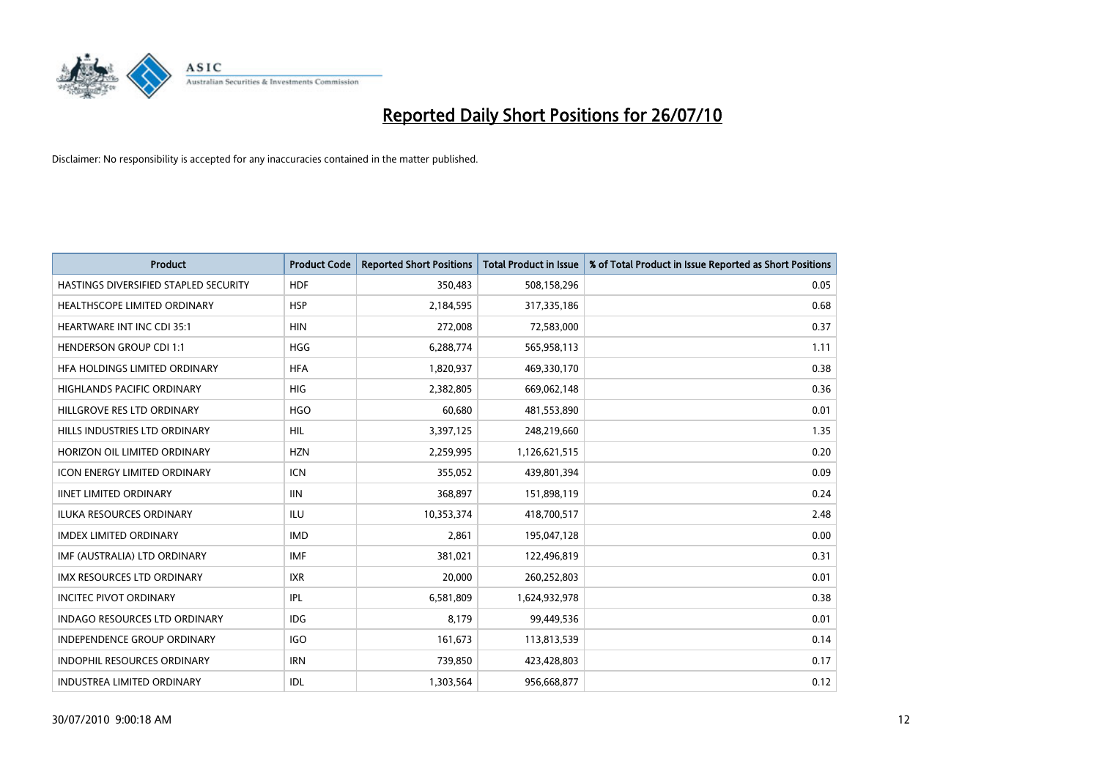

| <b>Product</b>                        | <b>Product Code</b> | <b>Reported Short Positions</b> | Total Product in Issue | % of Total Product in Issue Reported as Short Positions |
|---------------------------------------|---------------------|---------------------------------|------------------------|---------------------------------------------------------|
| HASTINGS DIVERSIFIED STAPLED SECURITY | <b>HDF</b>          | 350,483                         | 508,158,296            | 0.05                                                    |
| HEALTHSCOPE LIMITED ORDINARY          | <b>HSP</b>          | 2,184,595                       | 317,335,186            | 0.68                                                    |
| <b>HEARTWARE INT INC CDI 35:1</b>     | <b>HIN</b>          | 272,008                         | 72,583,000             | 0.37                                                    |
| <b>HENDERSON GROUP CDI 1:1</b>        | <b>HGG</b>          | 6,288,774                       | 565,958,113            | 1.11                                                    |
| HFA HOLDINGS LIMITED ORDINARY         | <b>HFA</b>          | 1,820,937                       | 469,330,170            | 0.38                                                    |
| <b>HIGHLANDS PACIFIC ORDINARY</b>     | <b>HIG</b>          | 2,382,805                       | 669,062,148            | 0.36                                                    |
| HILLGROVE RES LTD ORDINARY            | <b>HGO</b>          | 60.680                          | 481,553,890            | 0.01                                                    |
| HILLS INDUSTRIES LTD ORDINARY         | <b>HIL</b>          | 3,397,125                       | 248,219,660            | 1.35                                                    |
| HORIZON OIL LIMITED ORDINARY          | <b>HZN</b>          | 2,259,995                       | 1,126,621,515          | 0.20                                                    |
| <b>ICON ENERGY LIMITED ORDINARY</b>   | <b>ICN</b>          | 355,052                         | 439,801,394            | 0.09                                                    |
| <b>IINET LIMITED ORDINARY</b>         | <b>IIN</b>          | 368,897                         | 151,898,119            | 0.24                                                    |
| <b>ILUKA RESOURCES ORDINARY</b>       | <b>ILU</b>          | 10,353,374                      | 418,700,517            | 2.48                                                    |
| <b>IMDEX LIMITED ORDINARY</b>         | <b>IMD</b>          | 2,861                           | 195,047,128            | 0.00                                                    |
| IMF (AUSTRALIA) LTD ORDINARY          | <b>IMF</b>          | 381,021                         | 122,496,819            | 0.31                                                    |
| <b>IMX RESOURCES LTD ORDINARY</b>     | <b>IXR</b>          | 20,000                          | 260,252,803            | 0.01                                                    |
| <b>INCITEC PIVOT ORDINARY</b>         | <b>IPL</b>          | 6,581,809                       | 1,624,932,978          | 0.38                                                    |
| <b>INDAGO RESOURCES LTD ORDINARY</b>  | <b>IDG</b>          | 8,179                           | 99,449,536             | 0.01                                                    |
| INDEPENDENCE GROUP ORDINARY           | <b>IGO</b>          | 161,673                         | 113,813,539            | 0.14                                                    |
| <b>INDOPHIL RESOURCES ORDINARY</b>    | <b>IRN</b>          | 739,850                         | 423,428,803            | 0.17                                                    |
| <b>INDUSTREA LIMITED ORDINARY</b>     | IDL                 | 1,303,564                       | 956,668,877            | 0.12                                                    |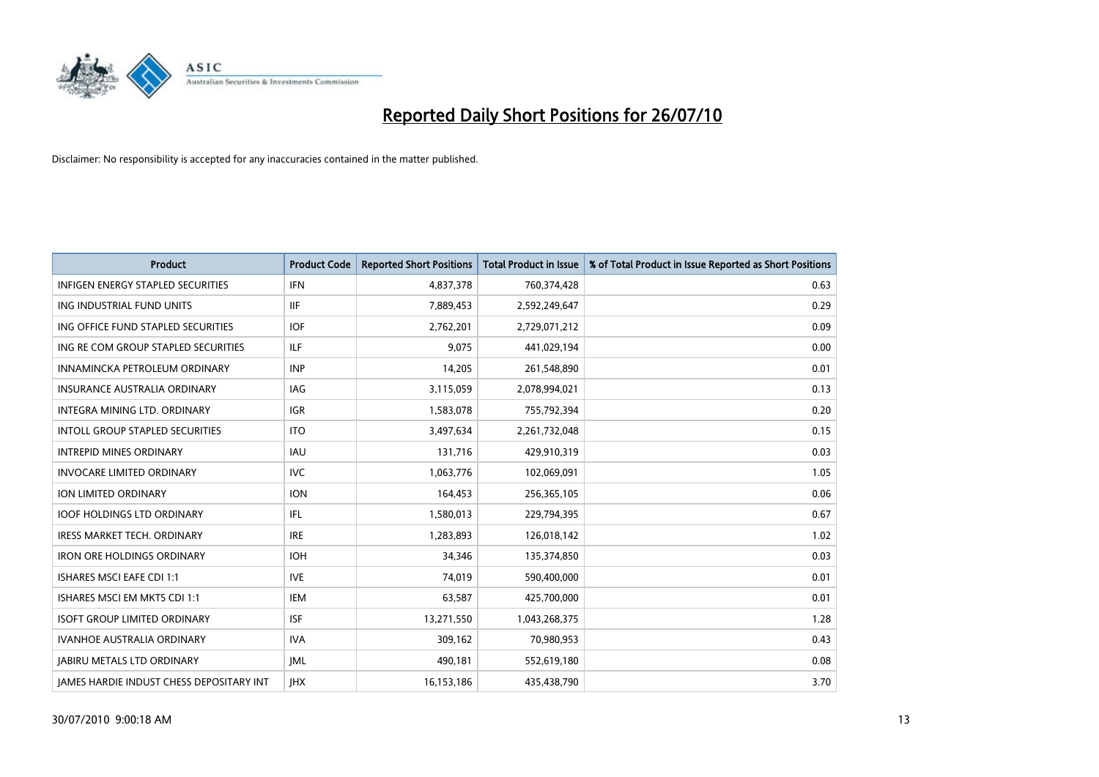

| <b>Product</b>                                  | <b>Product Code</b> | <b>Reported Short Positions</b> | <b>Total Product in Issue</b> | % of Total Product in Issue Reported as Short Positions |
|-------------------------------------------------|---------------------|---------------------------------|-------------------------------|---------------------------------------------------------|
| <b>INFIGEN ENERGY STAPLED SECURITIES</b>        | <b>IFN</b>          | 4,837,378                       | 760,374,428                   | 0.63                                                    |
| ING INDUSTRIAL FUND UNITS                       | <b>IIF</b>          | 7,889,453                       | 2,592,249,647                 | 0.29                                                    |
| ING OFFICE FUND STAPLED SECURITIES              | <b>IOF</b>          | 2,762,201                       | 2,729,071,212                 | 0.09                                                    |
| ING RE COM GROUP STAPLED SECURITIES             | <b>ILF</b>          | 9,075                           | 441,029,194                   | 0.00                                                    |
| INNAMINCKA PETROLEUM ORDINARY                   | <b>INP</b>          | 14,205                          | 261,548,890                   | 0.01                                                    |
| <b>INSURANCE AUSTRALIA ORDINARY</b>             | <b>IAG</b>          | 3,115,059                       | 2,078,994,021                 | 0.13                                                    |
| INTEGRA MINING LTD, ORDINARY                    | <b>IGR</b>          | 1,583,078                       | 755,792,394                   | 0.20                                                    |
| <b>INTOLL GROUP STAPLED SECURITIES</b>          | <b>ITO</b>          | 3,497,634                       | 2,261,732,048                 | 0.15                                                    |
| <b>INTREPID MINES ORDINARY</b>                  | <b>IAU</b>          | 131,716                         | 429,910,319                   | 0.03                                                    |
| <b>INVOCARE LIMITED ORDINARY</b>                | <b>IVC</b>          | 1,063,776                       | 102,069,091                   | 1.05                                                    |
| ION LIMITED ORDINARY                            | <b>ION</b>          | 164,453                         | 256,365,105                   | 0.06                                                    |
| <b>IOOF HOLDINGS LTD ORDINARY</b>               | <b>IFL</b>          | 1,580,013                       | 229,794,395                   | 0.67                                                    |
| <b>IRESS MARKET TECH. ORDINARY</b>              | <b>IRE</b>          | 1.283.893                       | 126,018,142                   | 1.02                                                    |
| <b>IRON ORE HOLDINGS ORDINARY</b>               | <b>IOH</b>          | 34,346                          | 135,374,850                   | 0.03                                                    |
| ISHARES MSCI EAFE CDI 1:1                       | <b>IVE</b>          | 74,019                          | 590,400,000                   | 0.01                                                    |
| ISHARES MSCI EM MKTS CDI 1:1                    | <b>IEM</b>          | 63,587                          | 425,700,000                   | 0.01                                                    |
| <b>ISOFT GROUP LIMITED ORDINARY</b>             | <b>ISF</b>          | 13,271,550                      | 1,043,268,375                 | 1.28                                                    |
| IVANHOE AUSTRALIA ORDINARY                      | <b>IVA</b>          | 309,162                         | 70,980,953                    | 0.43                                                    |
| <b>IABIRU METALS LTD ORDINARY</b>               | <b>IML</b>          | 490,181                         | 552,619,180                   | 0.08                                                    |
| <b>IAMES HARDIE INDUST CHESS DEPOSITARY INT</b> | <b>IHX</b>          | 16,153,186                      | 435,438,790                   | 3.70                                                    |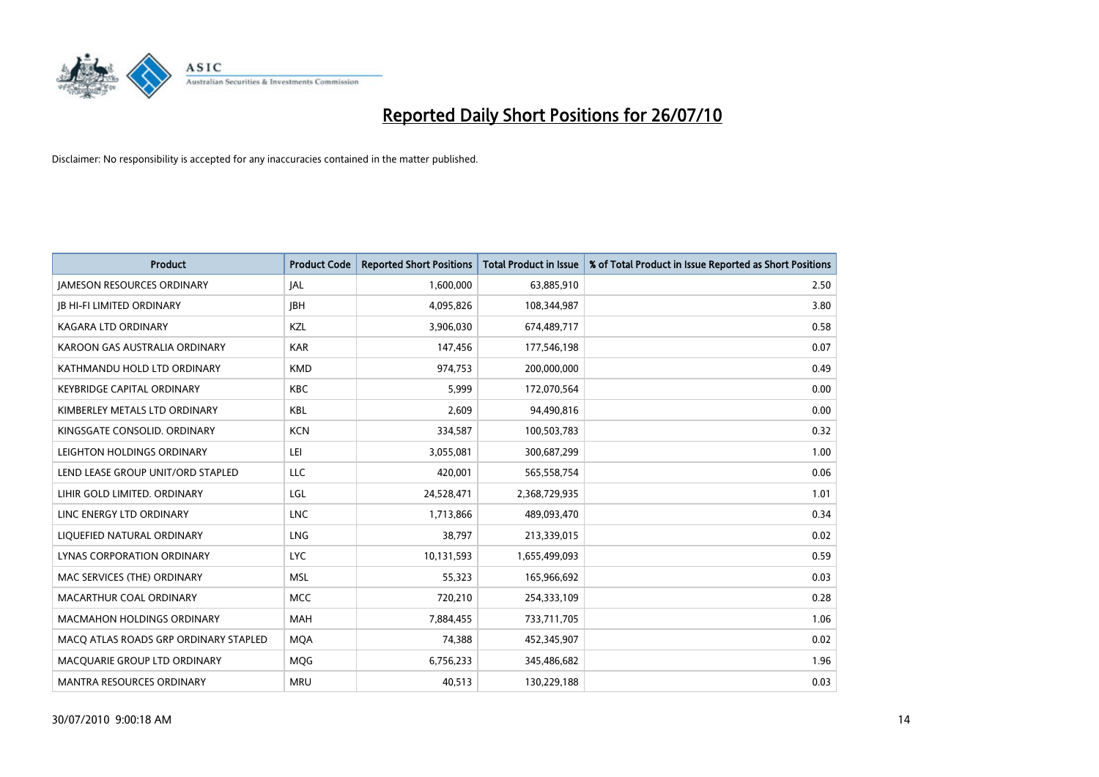

| <b>Product</b>                        | <b>Product Code</b> | <b>Reported Short Positions</b> | <b>Total Product in Issue</b> | % of Total Product in Issue Reported as Short Positions |
|---------------------------------------|---------------------|---------------------------------|-------------------------------|---------------------------------------------------------|
| <b>JAMESON RESOURCES ORDINARY</b>     | JAL                 | 1,600,000                       | 63,885,910                    | 2.50                                                    |
| <b>IB HI-FI LIMITED ORDINARY</b>      | <b>JBH</b>          | 4,095,826                       | 108,344,987                   | 3.80                                                    |
| <b>KAGARA LTD ORDINARY</b>            | KZL                 | 3,906,030                       | 674,489,717                   | 0.58                                                    |
| KAROON GAS AUSTRALIA ORDINARY         | <b>KAR</b>          | 147,456                         | 177,546,198                   | 0.07                                                    |
| KATHMANDU HOLD LTD ORDINARY           | <b>KMD</b>          | 974,753                         | 200,000,000                   | 0.49                                                    |
| <b>KEYBRIDGE CAPITAL ORDINARY</b>     | <b>KBC</b>          | 5,999                           | 172,070,564                   | 0.00                                                    |
| KIMBERLEY METALS LTD ORDINARY         | <b>KBL</b>          | 2,609                           | 94,490,816                    | 0.00                                                    |
| KINGSGATE CONSOLID. ORDINARY          | <b>KCN</b>          | 334,587                         | 100,503,783                   | 0.32                                                    |
| LEIGHTON HOLDINGS ORDINARY            | LEI                 | 3,055,081                       | 300,687,299                   | 1.00                                                    |
| LEND LEASE GROUP UNIT/ORD STAPLED     | <b>LLC</b>          | 420,001                         | 565,558,754                   | 0.06                                                    |
| LIHIR GOLD LIMITED. ORDINARY          | LGL                 | 24,528,471                      | 2,368,729,935                 | 1.01                                                    |
| LINC ENERGY LTD ORDINARY              | <b>LNC</b>          | 1,713,866                       | 489,093,470                   | 0.34                                                    |
| LIQUEFIED NATURAL ORDINARY            | LNG                 | 38,797                          | 213,339,015                   | 0.02                                                    |
| LYNAS CORPORATION ORDINARY            | <b>LYC</b>          | 10,131,593                      | 1,655,499,093                 | 0.59                                                    |
| MAC SERVICES (THE) ORDINARY           | <b>MSL</b>          | 55,323                          | 165,966,692                   | 0.03                                                    |
| MACARTHUR COAL ORDINARY               | <b>MCC</b>          | 720,210                         | 254,333,109                   | 0.28                                                    |
| MACMAHON HOLDINGS ORDINARY            | <b>MAH</b>          | 7,884,455                       | 733,711,705                   | 1.06                                                    |
| MACQ ATLAS ROADS GRP ORDINARY STAPLED | <b>MQA</b>          | 74,388                          | 452,345,907                   | 0.02                                                    |
| MACQUARIE GROUP LTD ORDINARY          | <b>MOG</b>          | 6,756,233                       | 345,486,682                   | 1.96                                                    |
| MANTRA RESOURCES ORDINARY             | <b>MRU</b>          | 40,513                          | 130,229,188                   | 0.03                                                    |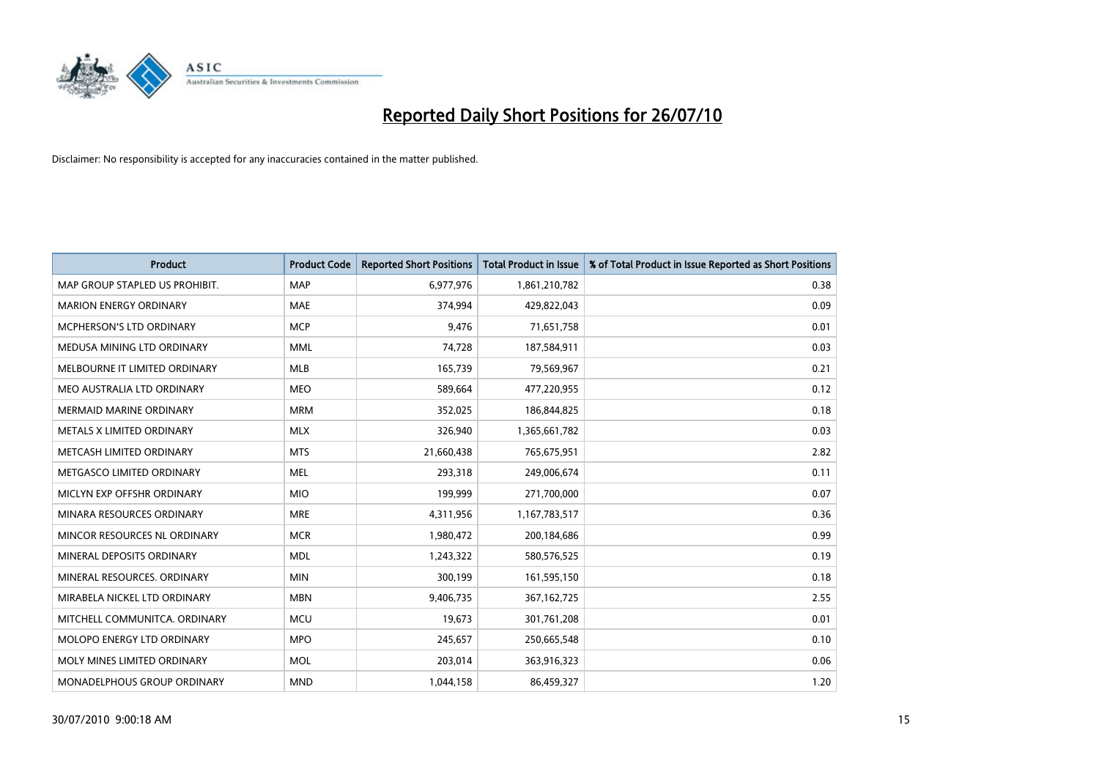

| <b>Product</b>                  | <b>Product Code</b> | <b>Reported Short Positions</b> | <b>Total Product in Issue</b> | % of Total Product in Issue Reported as Short Positions |
|---------------------------------|---------------------|---------------------------------|-------------------------------|---------------------------------------------------------|
| MAP GROUP STAPLED US PROHIBIT.  | <b>MAP</b>          | 6,977,976                       | 1,861,210,782                 | 0.38                                                    |
| <b>MARION ENERGY ORDINARY</b>   | <b>MAE</b>          | 374,994                         | 429,822,043                   | 0.09                                                    |
| <b>MCPHERSON'S LTD ORDINARY</b> | <b>MCP</b>          | 9,476                           | 71,651,758                    | 0.01                                                    |
| MEDUSA MINING LTD ORDINARY      | <b>MML</b>          | 74,728                          | 187,584,911                   | 0.03                                                    |
| MELBOURNE IT LIMITED ORDINARY   | <b>MLB</b>          | 165,739                         | 79,569,967                    | 0.21                                                    |
| MEO AUSTRALIA LTD ORDINARY      | <b>MEO</b>          | 589,664                         | 477,220,955                   | 0.12                                                    |
| <b>MERMAID MARINE ORDINARY</b>  | <b>MRM</b>          | 352,025                         | 186,844,825                   | 0.18                                                    |
| METALS X LIMITED ORDINARY       | <b>MLX</b>          | 326,940                         | 1,365,661,782                 | 0.03                                                    |
| METCASH LIMITED ORDINARY        | <b>MTS</b>          | 21,660,438                      | 765,675,951                   | 2.82                                                    |
| METGASCO LIMITED ORDINARY       | <b>MEL</b>          | 293,318                         | 249,006,674                   | 0.11                                                    |
| MICLYN EXP OFFSHR ORDINARY      | <b>MIO</b>          | 199,999                         | 271,700,000                   | 0.07                                                    |
| MINARA RESOURCES ORDINARY       | <b>MRE</b>          | 4,311,956                       | 1,167,783,517                 | 0.36                                                    |
| MINCOR RESOURCES NL ORDINARY    | <b>MCR</b>          | 1,980,472                       | 200,184,686                   | 0.99                                                    |
| MINERAL DEPOSITS ORDINARY       | <b>MDL</b>          | 1,243,322                       | 580,576,525                   | 0.19                                                    |
| MINERAL RESOURCES, ORDINARY     | <b>MIN</b>          | 300,199                         | 161,595,150                   | 0.18                                                    |
| MIRABELA NICKEL LTD ORDINARY    | <b>MBN</b>          | 9,406,735                       | 367,162,725                   | 2.55                                                    |
| MITCHELL COMMUNITCA. ORDINARY   | <b>MCU</b>          | 19,673                          | 301,761,208                   | 0.01                                                    |
| MOLOPO ENERGY LTD ORDINARY      | <b>MPO</b>          | 245,657                         | 250,665,548                   | 0.10                                                    |
| MOLY MINES LIMITED ORDINARY     | <b>MOL</b>          | 203,014                         | 363,916,323                   | 0.06                                                    |
| MONADELPHOUS GROUP ORDINARY     | <b>MND</b>          | 1,044,158                       | 86,459,327                    | 1.20                                                    |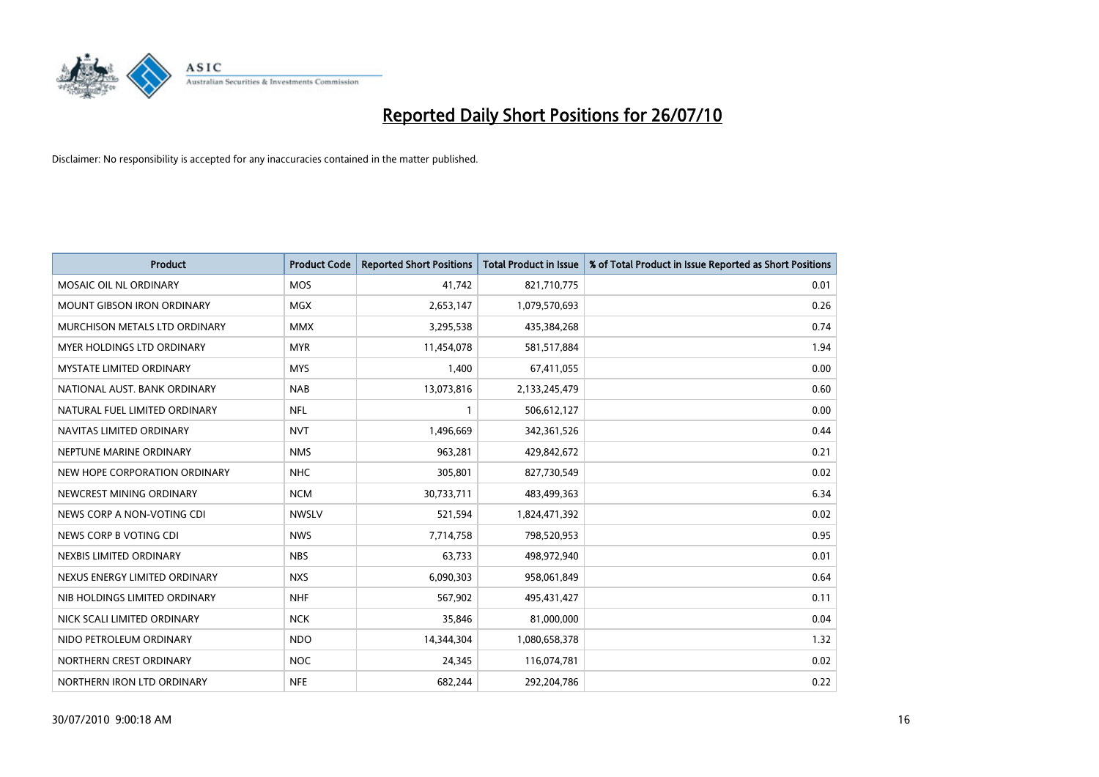

| <b>Product</b>                  | <b>Product Code</b> | <b>Reported Short Positions</b> | Total Product in Issue | % of Total Product in Issue Reported as Short Positions |
|---------------------------------|---------------------|---------------------------------|------------------------|---------------------------------------------------------|
| MOSAIC OIL NL ORDINARY          | <b>MOS</b>          | 41,742                          | 821,710,775            | 0.01                                                    |
| MOUNT GIBSON IRON ORDINARY      | <b>MGX</b>          | 2,653,147                       | 1,079,570,693          | 0.26                                                    |
| MURCHISON METALS LTD ORDINARY   | <b>MMX</b>          | 3,295,538                       | 435,384,268            | 0.74                                                    |
| MYER HOLDINGS LTD ORDINARY      | <b>MYR</b>          | 11,454,078                      | 581,517,884            | 1.94                                                    |
| <b>MYSTATE LIMITED ORDINARY</b> | <b>MYS</b>          | 1,400                           | 67,411,055             | 0.00                                                    |
| NATIONAL AUST. BANK ORDINARY    | <b>NAB</b>          | 13,073,816                      | 2,133,245,479          | 0.60                                                    |
| NATURAL FUEL LIMITED ORDINARY   | <b>NFL</b>          |                                 | 506,612,127            | 0.00                                                    |
| NAVITAS LIMITED ORDINARY        | <b>NVT</b>          | 1,496,669                       | 342,361,526            | 0.44                                                    |
| NEPTUNE MARINE ORDINARY         | <b>NMS</b>          | 963,281                         | 429,842,672            | 0.21                                                    |
| NEW HOPE CORPORATION ORDINARY   | <b>NHC</b>          | 305,801                         | 827,730,549            | 0.02                                                    |
| NEWCREST MINING ORDINARY        | <b>NCM</b>          | 30,733,711                      | 483,499,363            | 6.34                                                    |
| NEWS CORP A NON-VOTING CDI      | <b>NWSLV</b>        | 521,594                         | 1,824,471,392          | 0.02                                                    |
| NEWS CORP B VOTING CDI          | <b>NWS</b>          | 7,714,758                       | 798,520,953            | 0.95                                                    |
| NEXBIS LIMITED ORDINARY         | <b>NBS</b>          | 63,733                          | 498,972,940            | 0.01                                                    |
| NEXUS ENERGY LIMITED ORDINARY   | <b>NXS</b>          | 6,090,303                       | 958,061,849            | 0.64                                                    |
| NIB HOLDINGS LIMITED ORDINARY   | <b>NHF</b>          | 567,902                         | 495,431,427            | 0.11                                                    |
| NICK SCALI LIMITED ORDINARY     | <b>NCK</b>          | 35,846                          | 81,000,000             | 0.04                                                    |
| NIDO PETROLEUM ORDINARY         | <b>NDO</b>          | 14,344,304                      | 1,080,658,378          | 1.32                                                    |
| NORTHERN CREST ORDINARY         | <b>NOC</b>          | 24,345                          | 116,074,781            | 0.02                                                    |
| NORTHERN IRON LTD ORDINARY      | <b>NFE</b>          | 682,244                         | 292,204,786            | 0.22                                                    |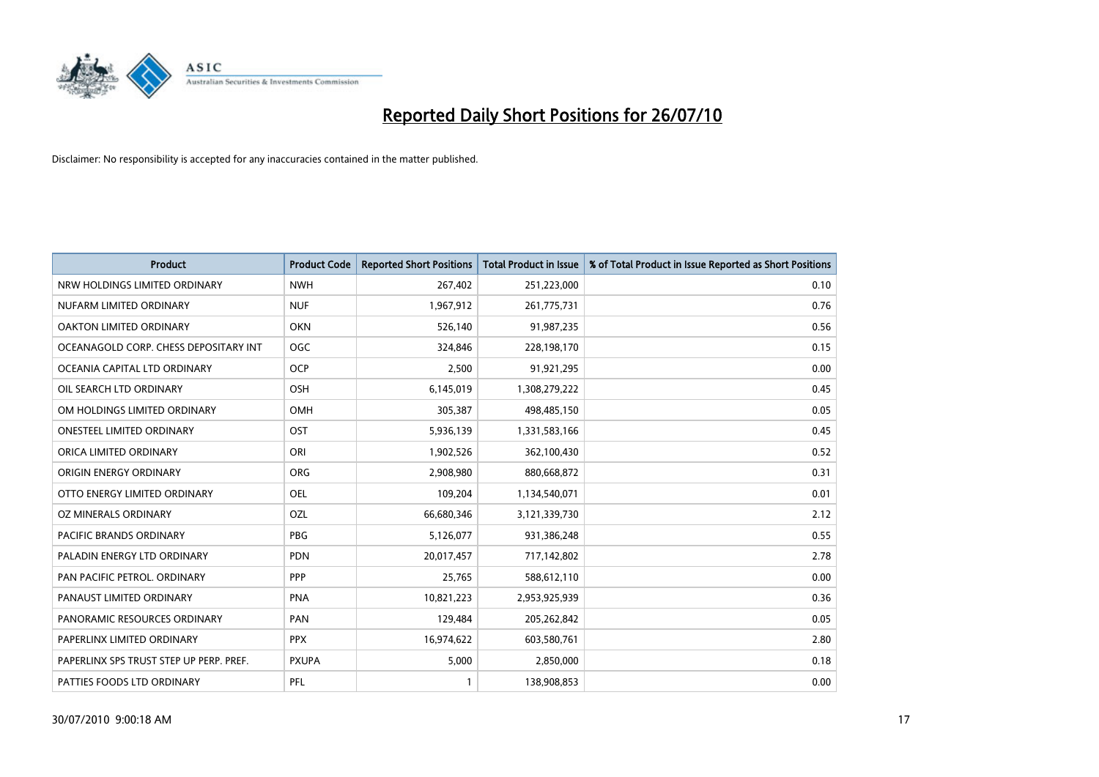

| <b>Product</b>                          | <b>Product Code</b> | <b>Reported Short Positions</b> | Total Product in Issue | % of Total Product in Issue Reported as Short Positions |
|-----------------------------------------|---------------------|---------------------------------|------------------------|---------------------------------------------------------|
| NRW HOLDINGS LIMITED ORDINARY           | <b>NWH</b>          | 267,402                         | 251,223,000            | 0.10                                                    |
| NUFARM LIMITED ORDINARY                 | <b>NUF</b>          | 1,967,912                       | 261,775,731            | 0.76                                                    |
| OAKTON LIMITED ORDINARY                 | <b>OKN</b>          | 526,140                         | 91,987,235             | 0.56                                                    |
| OCEANAGOLD CORP. CHESS DEPOSITARY INT   | <b>OGC</b>          | 324,846                         | 228,198,170            | 0.15                                                    |
| OCEANIA CAPITAL LTD ORDINARY            | <b>OCP</b>          | 2,500                           | 91,921,295             | 0.00                                                    |
| OIL SEARCH LTD ORDINARY                 | <b>OSH</b>          | 6,145,019                       | 1,308,279,222          | 0.45                                                    |
| OM HOLDINGS LIMITED ORDINARY            | <b>OMH</b>          | 305,387                         | 498,485,150            | 0.05                                                    |
| <b>ONESTEEL LIMITED ORDINARY</b>        | OST                 | 5,936,139                       | 1,331,583,166          | 0.45                                                    |
| ORICA LIMITED ORDINARY                  | ORI                 | 1,902,526                       | 362,100,430            | 0.52                                                    |
| ORIGIN ENERGY ORDINARY                  | <b>ORG</b>          | 2,908,980                       | 880,668,872            | 0.31                                                    |
| OTTO ENERGY LIMITED ORDINARY            | <b>OEL</b>          | 109,204                         | 1,134,540,071          | 0.01                                                    |
| OZ MINERALS ORDINARY                    | OZL                 | 66,680,346                      | 3,121,339,730          | 2.12                                                    |
| <b>PACIFIC BRANDS ORDINARY</b>          | <b>PBG</b>          | 5,126,077                       | 931,386,248            | 0.55                                                    |
| PALADIN ENERGY LTD ORDINARY             | <b>PDN</b>          | 20,017,457                      | 717,142,802            | 2.78                                                    |
| PAN PACIFIC PETROL. ORDINARY            | PPP                 | 25,765                          | 588,612,110            | 0.00                                                    |
| PANAUST LIMITED ORDINARY                | <b>PNA</b>          | 10,821,223                      | 2,953,925,939          | 0.36                                                    |
| PANORAMIC RESOURCES ORDINARY            | PAN                 | 129,484                         | 205,262,842            | 0.05                                                    |
| PAPERLINX LIMITED ORDINARY              | <b>PPX</b>          | 16,974,622                      | 603,580,761            | 2.80                                                    |
| PAPERLINX SPS TRUST STEP UP PERP. PREF. | <b>PXUPA</b>        | 5,000                           | 2,850,000              | 0.18                                                    |
| PATTIES FOODS LTD ORDINARY              | PFL                 |                                 | 138,908,853            | 0.00                                                    |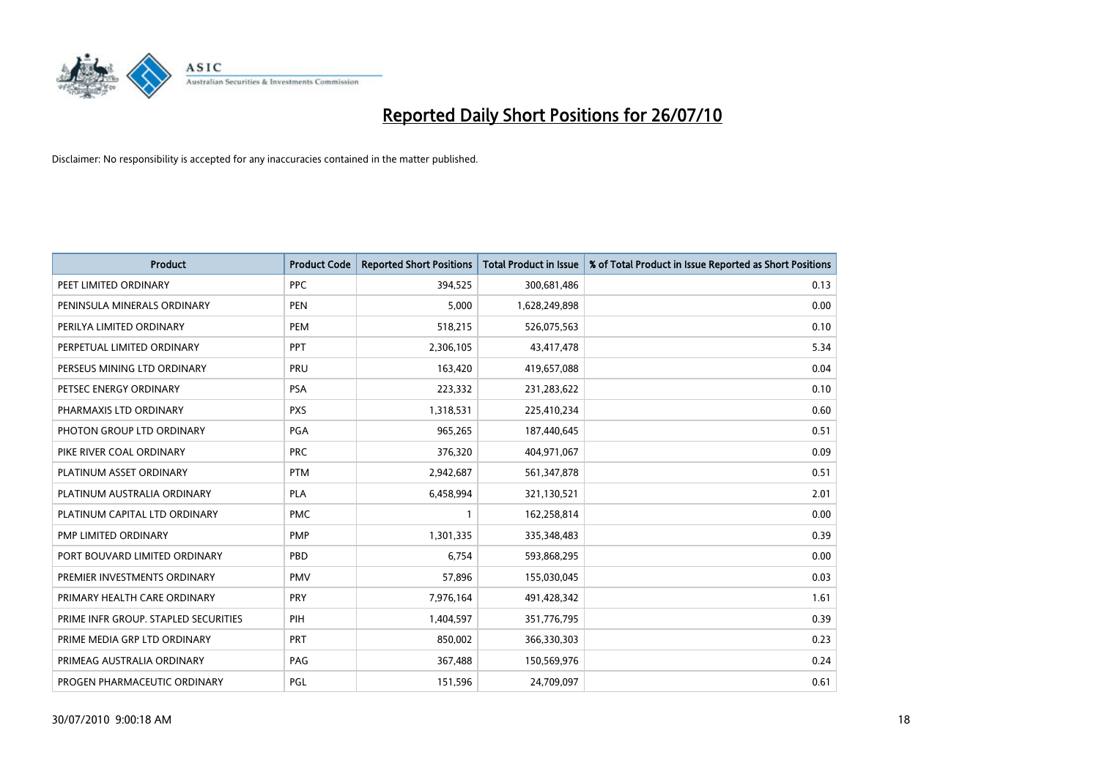

| <b>Product</b>                       | <b>Product Code</b> | <b>Reported Short Positions</b> | <b>Total Product in Issue</b> | % of Total Product in Issue Reported as Short Positions |
|--------------------------------------|---------------------|---------------------------------|-------------------------------|---------------------------------------------------------|
| PEET LIMITED ORDINARY                | <b>PPC</b>          | 394,525                         | 300,681,486                   | 0.13                                                    |
| PENINSULA MINERALS ORDINARY          | <b>PEN</b>          | 5,000                           | 1,628,249,898                 | 0.00                                                    |
| PERILYA LIMITED ORDINARY             | PEM                 | 518,215                         | 526,075,563                   | 0.10                                                    |
| PERPETUAL LIMITED ORDINARY           | PPT                 | 2,306,105                       | 43,417,478                    | 5.34                                                    |
| PERSEUS MINING LTD ORDINARY          | PRU                 | 163,420                         | 419,657,088                   | 0.04                                                    |
| PETSEC ENERGY ORDINARY               | <b>PSA</b>          | 223,332                         | 231,283,622                   | 0.10                                                    |
| PHARMAXIS LTD ORDINARY               | <b>PXS</b>          | 1,318,531                       | 225,410,234                   | 0.60                                                    |
| PHOTON GROUP LTD ORDINARY            | <b>PGA</b>          | 965,265                         | 187,440,645                   | 0.51                                                    |
| PIKE RIVER COAL ORDINARY             | <b>PRC</b>          | 376,320                         | 404,971,067                   | 0.09                                                    |
| PLATINUM ASSET ORDINARY              | <b>PTM</b>          | 2,942,687                       | 561,347,878                   | 0.51                                                    |
| PLATINUM AUSTRALIA ORDINARY          | <b>PLA</b>          | 6,458,994                       | 321,130,521                   | 2.01                                                    |
| PLATINUM CAPITAL LTD ORDINARY        | <b>PMC</b>          |                                 | 162,258,814                   | 0.00                                                    |
| PMP LIMITED ORDINARY                 | <b>PMP</b>          | 1,301,335                       | 335,348,483                   | 0.39                                                    |
| PORT BOUVARD LIMITED ORDINARY        | PBD                 | 6,754                           | 593,868,295                   | 0.00                                                    |
| PREMIER INVESTMENTS ORDINARY         | <b>PMV</b>          | 57,896                          | 155,030,045                   | 0.03                                                    |
| PRIMARY HEALTH CARE ORDINARY         | PRY                 | 7,976,164                       | 491,428,342                   | 1.61                                                    |
| PRIME INFR GROUP. STAPLED SECURITIES | PIH                 | 1,404,597                       | 351,776,795                   | 0.39                                                    |
| PRIME MEDIA GRP LTD ORDINARY         | <b>PRT</b>          | 850,002                         | 366,330,303                   | 0.23                                                    |
| PRIMEAG AUSTRALIA ORDINARY           | PAG                 | 367,488                         | 150,569,976                   | 0.24                                                    |
| PROGEN PHARMACEUTIC ORDINARY         | PGL                 | 151,596                         | 24,709,097                    | 0.61                                                    |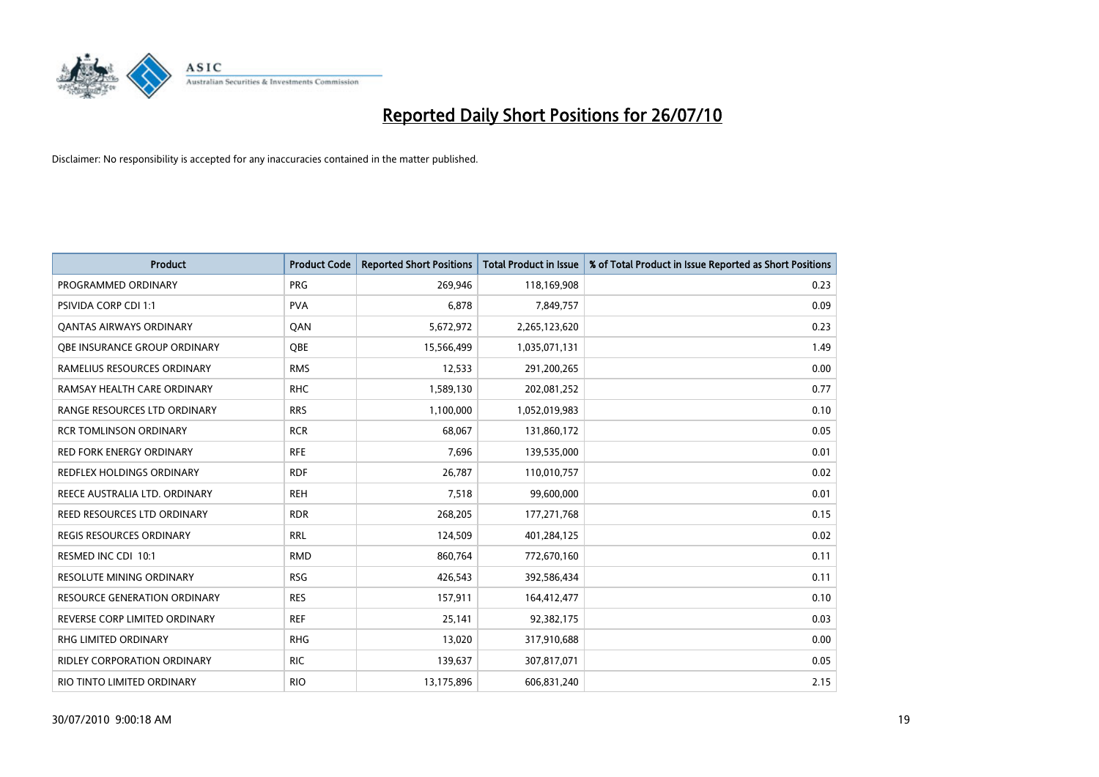

| <b>Product</b>                      | <b>Product Code</b> | <b>Reported Short Positions</b> | <b>Total Product in Issue</b> | % of Total Product in Issue Reported as Short Positions |
|-------------------------------------|---------------------|---------------------------------|-------------------------------|---------------------------------------------------------|
| PROGRAMMED ORDINARY                 | <b>PRG</b>          | 269,946                         | 118,169,908                   | 0.23                                                    |
| <b>PSIVIDA CORP CDI 1:1</b>         | <b>PVA</b>          | 6,878                           | 7,849,757                     | 0.09                                                    |
| OANTAS AIRWAYS ORDINARY             | <b>OAN</b>          | 5,672,972                       | 2,265,123,620                 | 0.23                                                    |
| OBE INSURANCE GROUP ORDINARY        | OBE                 | 15,566,499                      | 1,035,071,131                 | 1.49                                                    |
| RAMELIUS RESOURCES ORDINARY         | <b>RMS</b>          | 12,533                          | 291,200,265                   | 0.00                                                    |
| RAMSAY HEALTH CARE ORDINARY         | <b>RHC</b>          | 1,589,130                       | 202,081,252                   | 0.77                                                    |
| RANGE RESOURCES LTD ORDINARY        | <b>RRS</b>          | 1,100,000                       | 1,052,019,983                 | 0.10                                                    |
| <b>RCR TOMLINSON ORDINARY</b>       | <b>RCR</b>          | 68.067                          | 131,860,172                   | 0.05                                                    |
| <b>RED FORK ENERGY ORDINARY</b>     | <b>RFE</b>          | 7,696                           | 139,535,000                   | 0.01                                                    |
| <b>REDFLEX HOLDINGS ORDINARY</b>    | <b>RDF</b>          | 26,787                          | 110,010,757                   | 0.02                                                    |
| REECE AUSTRALIA LTD. ORDINARY       | <b>REH</b>          | 7,518                           | 99,600,000                    | 0.01                                                    |
| REED RESOURCES LTD ORDINARY         | <b>RDR</b>          | 268,205                         | 177, 271, 768                 | 0.15                                                    |
| <b>REGIS RESOURCES ORDINARY</b>     | <b>RRL</b>          | 124,509                         | 401,284,125                   | 0.02                                                    |
| RESMED INC CDI 10:1                 | <b>RMD</b>          | 860,764                         | 772,670,160                   | 0.11                                                    |
| <b>RESOLUTE MINING ORDINARY</b>     | <b>RSG</b>          | 426,543                         | 392,586,434                   | 0.11                                                    |
| <b>RESOURCE GENERATION ORDINARY</b> | <b>RES</b>          | 157,911                         | 164,412,477                   | 0.10                                                    |
| REVERSE CORP LIMITED ORDINARY       | <b>REF</b>          | 25,141                          | 92,382,175                    | 0.03                                                    |
| RHG LIMITED ORDINARY                | <b>RHG</b>          | 13,020                          | 317,910,688                   | 0.00                                                    |
| <b>RIDLEY CORPORATION ORDINARY</b>  | <b>RIC</b>          | 139,637                         | 307,817,071                   | 0.05                                                    |
| RIO TINTO LIMITED ORDINARY          | <b>RIO</b>          | 13,175,896                      | 606,831,240                   | 2.15                                                    |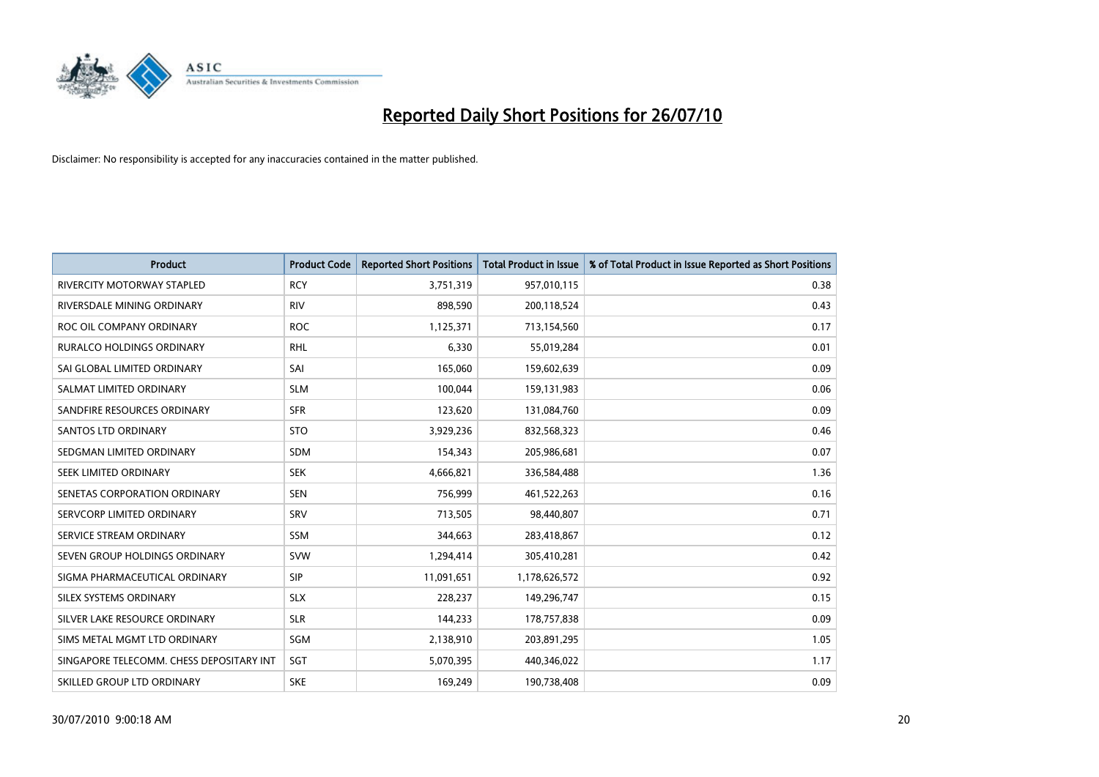

| <b>Product</b>                           | <b>Product Code</b> | <b>Reported Short Positions</b> | <b>Total Product in Issue</b> | % of Total Product in Issue Reported as Short Positions |
|------------------------------------------|---------------------|---------------------------------|-------------------------------|---------------------------------------------------------|
| <b>RIVERCITY MOTORWAY STAPLED</b>        | <b>RCY</b>          | 3,751,319                       | 957,010,115                   | 0.38                                                    |
| RIVERSDALE MINING ORDINARY               | <b>RIV</b>          | 898,590                         | 200,118,524                   | 0.43                                                    |
| ROC OIL COMPANY ORDINARY                 | <b>ROC</b>          | 1,125,371                       | 713,154,560                   | 0.17                                                    |
| RURALCO HOLDINGS ORDINARY                | <b>RHL</b>          | 6,330                           | 55,019,284                    | 0.01                                                    |
| SAI GLOBAL LIMITED ORDINARY              | SAI                 | 165,060                         | 159,602,639                   | 0.09                                                    |
| SALMAT LIMITED ORDINARY                  | <b>SLM</b>          | 100,044                         | 159,131,983                   | 0.06                                                    |
| SANDFIRE RESOURCES ORDINARY              | <b>SFR</b>          | 123,620                         | 131,084,760                   | 0.09                                                    |
| <b>SANTOS LTD ORDINARY</b>               | <b>STO</b>          | 3,929,236                       | 832,568,323                   | 0.46                                                    |
| SEDGMAN LIMITED ORDINARY                 | <b>SDM</b>          | 154,343                         | 205,986,681                   | 0.07                                                    |
| SEEK LIMITED ORDINARY                    | <b>SEK</b>          | 4,666,821                       | 336,584,488                   | 1.36                                                    |
| SENETAS CORPORATION ORDINARY             | <b>SEN</b>          | 756,999                         | 461,522,263                   | 0.16                                                    |
| SERVCORP LIMITED ORDINARY                | SRV                 | 713,505                         | 98,440,807                    | 0.71                                                    |
| SERVICE STREAM ORDINARY                  | <b>SSM</b>          | 344,663                         | 283,418,867                   | 0.12                                                    |
| SEVEN GROUP HOLDINGS ORDINARY            | <b>SVW</b>          | 1,294,414                       | 305,410,281                   | 0.42                                                    |
| SIGMA PHARMACEUTICAL ORDINARY            | <b>SIP</b>          | 11,091,651                      | 1,178,626,572                 | 0.92                                                    |
| SILEX SYSTEMS ORDINARY                   | <b>SLX</b>          | 228,237                         | 149,296,747                   | 0.15                                                    |
| SILVER LAKE RESOURCE ORDINARY            | <b>SLR</b>          | 144,233                         | 178,757,838                   | 0.09                                                    |
| SIMS METAL MGMT LTD ORDINARY             | SGM                 | 2,138,910                       | 203,891,295                   | 1.05                                                    |
| SINGAPORE TELECOMM. CHESS DEPOSITARY INT | SGT                 | 5,070,395                       | 440,346,022                   | 1.17                                                    |
| SKILLED GROUP LTD ORDINARY               | <b>SKE</b>          | 169,249                         | 190,738,408                   | 0.09                                                    |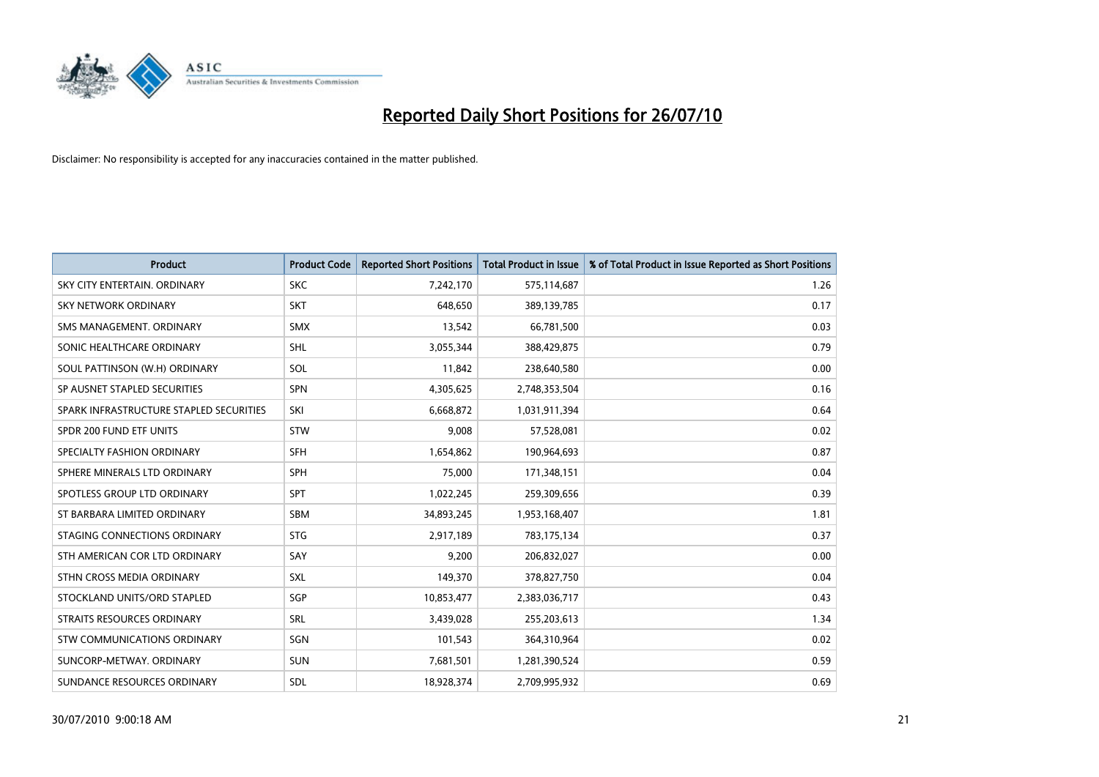

| <b>Product</b>                          | <b>Product Code</b> | <b>Reported Short Positions</b> | <b>Total Product in Issue</b> | % of Total Product in Issue Reported as Short Positions |
|-----------------------------------------|---------------------|---------------------------------|-------------------------------|---------------------------------------------------------|
| SKY CITY ENTERTAIN, ORDINARY            | <b>SKC</b>          | 7,242,170                       | 575,114,687                   | 1.26                                                    |
| SKY NETWORK ORDINARY                    | <b>SKT</b>          | 648,650                         | 389,139,785                   | 0.17                                                    |
| SMS MANAGEMENT, ORDINARY                | <b>SMX</b>          | 13,542                          | 66,781,500                    | 0.03                                                    |
| SONIC HEALTHCARE ORDINARY               | <b>SHL</b>          | 3,055,344                       | 388,429,875                   | 0.79                                                    |
| SOUL PATTINSON (W.H) ORDINARY           | SOL                 | 11,842                          | 238,640,580                   | 0.00                                                    |
| SP AUSNET STAPLED SECURITIES            | <b>SPN</b>          | 4,305,625                       | 2,748,353,504                 | 0.16                                                    |
| SPARK INFRASTRUCTURE STAPLED SECURITIES | SKI                 | 6,668,872                       | 1,031,911,394                 | 0.64                                                    |
| SPDR 200 FUND ETF UNITS                 | <b>STW</b>          | 9,008                           | 57,528,081                    | 0.02                                                    |
| SPECIALTY FASHION ORDINARY              | SFH                 | 1,654,862                       | 190,964,693                   | 0.87                                                    |
| SPHERE MINERALS LTD ORDINARY            | <b>SPH</b>          | 75,000                          | 171,348,151                   | 0.04                                                    |
| SPOTLESS GROUP LTD ORDINARY             | <b>SPT</b>          | 1,022,245                       | 259,309,656                   | 0.39                                                    |
| ST BARBARA LIMITED ORDINARY             | <b>SBM</b>          | 34,893,245                      | 1,953,168,407                 | 1.81                                                    |
| STAGING CONNECTIONS ORDINARY            | <b>STG</b>          | 2,917,189                       | 783,175,134                   | 0.37                                                    |
| STH AMERICAN COR LTD ORDINARY           | SAY                 | 9,200                           | 206,832,027                   | 0.00                                                    |
| STHN CROSS MEDIA ORDINARY               | SXL                 | 149,370                         | 378,827,750                   | 0.04                                                    |
| STOCKLAND UNITS/ORD STAPLED             | SGP                 | 10,853,477                      | 2,383,036,717                 | 0.43                                                    |
| <b>STRAITS RESOURCES ORDINARY</b>       | <b>SRL</b>          | 3,439,028                       | 255,203,613                   | 1.34                                                    |
| STW COMMUNICATIONS ORDINARY             | SGN                 | 101,543                         | 364,310,964                   | 0.02                                                    |
| SUNCORP-METWAY, ORDINARY                | <b>SUN</b>          | 7,681,501                       | 1,281,390,524                 | 0.59                                                    |
| SUNDANCE RESOURCES ORDINARY             | <b>SDL</b>          | 18.928.374                      | 2,709,995,932                 | 0.69                                                    |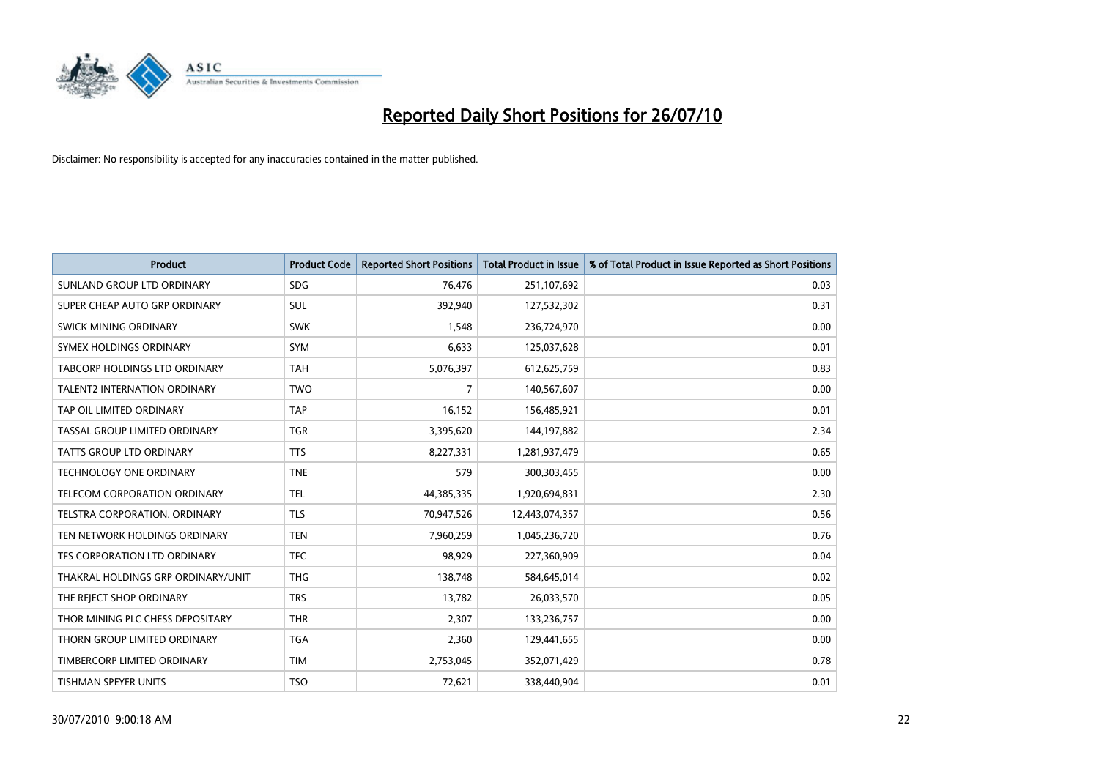

| <b>Product</b>                       | <b>Product Code</b> | <b>Reported Short Positions</b> | <b>Total Product in Issue</b> | % of Total Product in Issue Reported as Short Positions |
|--------------------------------------|---------------------|---------------------------------|-------------------------------|---------------------------------------------------------|
| SUNLAND GROUP LTD ORDINARY           | <b>SDG</b>          | 76,476                          | 251,107,692                   | 0.03                                                    |
| SUPER CHEAP AUTO GRP ORDINARY        | <b>SUL</b>          | 392,940                         | 127,532,302                   | 0.31                                                    |
| SWICK MINING ORDINARY                | <b>SWK</b>          | 1,548                           | 236,724,970                   | 0.00                                                    |
| SYMEX HOLDINGS ORDINARY              | <b>SYM</b>          | 6,633                           | 125,037,628                   | 0.01                                                    |
| TABCORP HOLDINGS LTD ORDINARY        | <b>TAH</b>          | 5,076,397                       | 612,625,759                   | 0.83                                                    |
| <b>TALENT2 INTERNATION ORDINARY</b>  | <b>TWO</b>          | $\overline{7}$                  | 140,567,607                   | 0.00                                                    |
| TAP OIL LIMITED ORDINARY             | <b>TAP</b>          | 16,152                          | 156,485,921                   | 0.01                                                    |
| TASSAL GROUP LIMITED ORDINARY        | <b>TGR</b>          | 3,395,620                       | 144,197,882                   | 2.34                                                    |
| <b>TATTS GROUP LTD ORDINARY</b>      | <b>TTS</b>          | 8,227,331                       | 1,281,937,479                 | 0.65                                                    |
| <b>TECHNOLOGY ONE ORDINARY</b>       | <b>TNE</b>          | 579                             | 300,303,455                   | 0.00                                                    |
| TELECOM CORPORATION ORDINARY         | <b>TEL</b>          | 44,385,335                      | 1,920,694,831                 | 2.30                                                    |
| <b>TELSTRA CORPORATION, ORDINARY</b> | <b>TLS</b>          | 70,947,526                      | 12,443,074,357                | 0.56                                                    |
| TEN NETWORK HOLDINGS ORDINARY        | <b>TEN</b>          | 7,960,259                       | 1,045,236,720                 | 0.76                                                    |
| TFS CORPORATION LTD ORDINARY         | <b>TFC</b>          | 98,929                          | 227,360,909                   | 0.04                                                    |
| THAKRAL HOLDINGS GRP ORDINARY/UNIT   | <b>THG</b>          | 138,748                         | 584,645,014                   | 0.02                                                    |
| THE REJECT SHOP ORDINARY             | <b>TRS</b>          | 13,782                          | 26,033,570                    | 0.05                                                    |
| THOR MINING PLC CHESS DEPOSITARY     | <b>THR</b>          | 2,307                           | 133,236,757                   | 0.00                                                    |
| THORN GROUP LIMITED ORDINARY         | <b>TGA</b>          | 2,360                           | 129,441,655                   | 0.00                                                    |
| TIMBERCORP LIMITED ORDINARY          | <b>TIM</b>          | 2,753,045                       | 352,071,429                   | 0.78                                                    |
| TISHMAN SPEYER UNITS                 | <b>TSO</b>          | 72,621                          | 338,440,904                   | 0.01                                                    |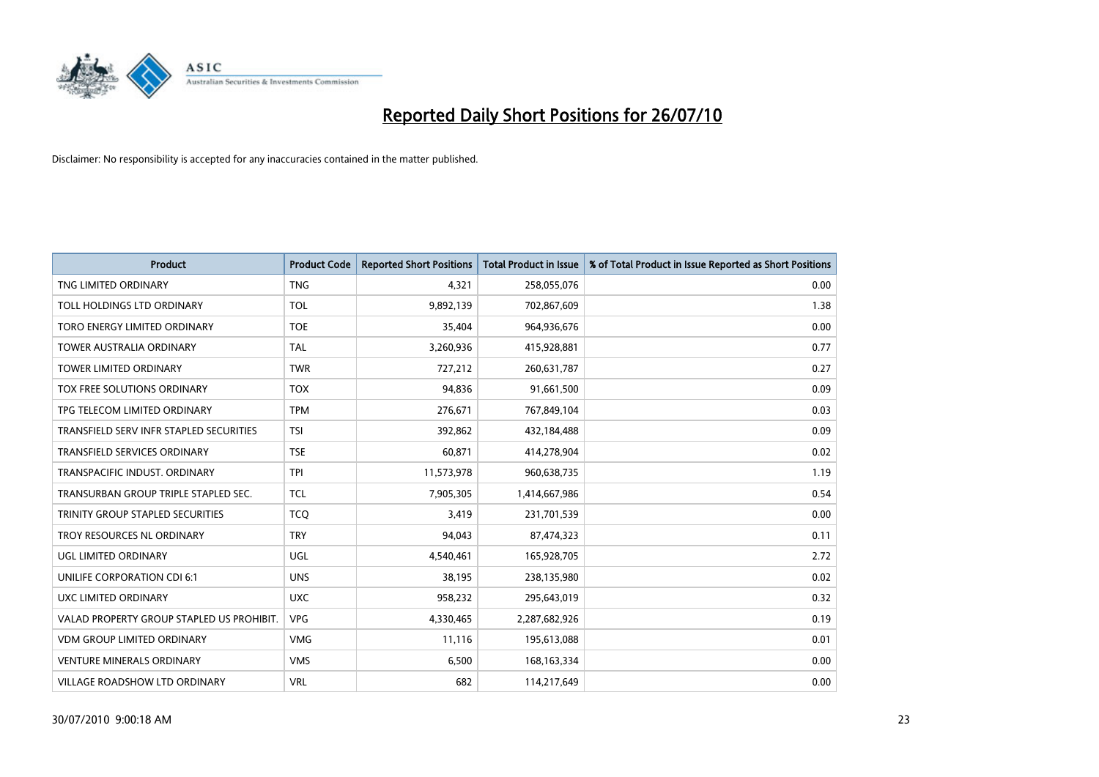

| <b>Product</b>                            | <b>Product Code</b> | <b>Reported Short Positions</b> | Total Product in Issue | % of Total Product in Issue Reported as Short Positions |
|-------------------------------------------|---------------------|---------------------------------|------------------------|---------------------------------------------------------|
| TNG LIMITED ORDINARY                      | <b>TNG</b>          | 4,321                           | 258,055,076            | 0.00                                                    |
| TOLL HOLDINGS LTD ORDINARY                | <b>TOL</b>          | 9,892,139                       | 702,867,609            | 1.38                                                    |
| TORO ENERGY LIMITED ORDINARY              | <b>TOE</b>          | 35,404                          | 964,936,676            | 0.00                                                    |
| TOWER AUSTRALIA ORDINARY                  | <b>TAL</b>          | 3,260,936                       | 415,928,881            | 0.77                                                    |
| <b>TOWER LIMITED ORDINARY</b>             | <b>TWR</b>          | 727,212                         | 260,631,787            | 0.27                                                    |
| <b>TOX FREE SOLUTIONS ORDINARY</b>        | <b>TOX</b>          | 94,836                          | 91,661,500             | 0.09                                                    |
| TPG TELECOM LIMITED ORDINARY              | <b>TPM</b>          | 276,671                         | 767,849,104            | 0.03                                                    |
| TRANSFIELD SERV INFR STAPLED SECURITIES   | <b>TSI</b>          | 392,862                         | 432,184,488            | 0.09                                                    |
| <b>TRANSFIELD SERVICES ORDINARY</b>       | <b>TSE</b>          | 60,871                          | 414,278,904            | 0.02                                                    |
| TRANSPACIFIC INDUST, ORDINARY             | <b>TPI</b>          | 11,573,978                      | 960,638,735            | 1.19                                                    |
| TRANSURBAN GROUP TRIPLE STAPLED SEC.      | <b>TCL</b>          | 7,905,305                       | 1,414,667,986          | 0.54                                                    |
| TRINITY GROUP STAPLED SECURITIES          | <b>TCQ</b>          | 3,419                           | 231,701,539            | 0.00                                                    |
| TROY RESOURCES NL ORDINARY                | <b>TRY</b>          | 94,043                          | 87,474,323             | 0.11                                                    |
| UGL LIMITED ORDINARY                      | UGL                 | 4,540,461                       | 165,928,705            | 2.72                                                    |
| UNILIFE CORPORATION CDI 6:1               | <b>UNS</b>          | 38,195                          | 238,135,980            | 0.02                                                    |
| UXC LIMITED ORDINARY                      | <b>UXC</b>          | 958,232                         | 295,643,019            | 0.32                                                    |
| VALAD PROPERTY GROUP STAPLED US PROHIBIT. | <b>VPG</b>          | 4,330,465                       | 2,287,682,926          | 0.19                                                    |
| VDM GROUP LIMITED ORDINARY                | <b>VMG</b>          | 11,116                          | 195,613,088            | 0.01                                                    |
| <b>VENTURE MINERALS ORDINARY</b>          | <b>VMS</b>          | 6,500                           | 168, 163, 334          | 0.00                                                    |
| <b>VILLAGE ROADSHOW LTD ORDINARY</b>      | <b>VRL</b>          | 682                             | 114,217,649            | 0.00                                                    |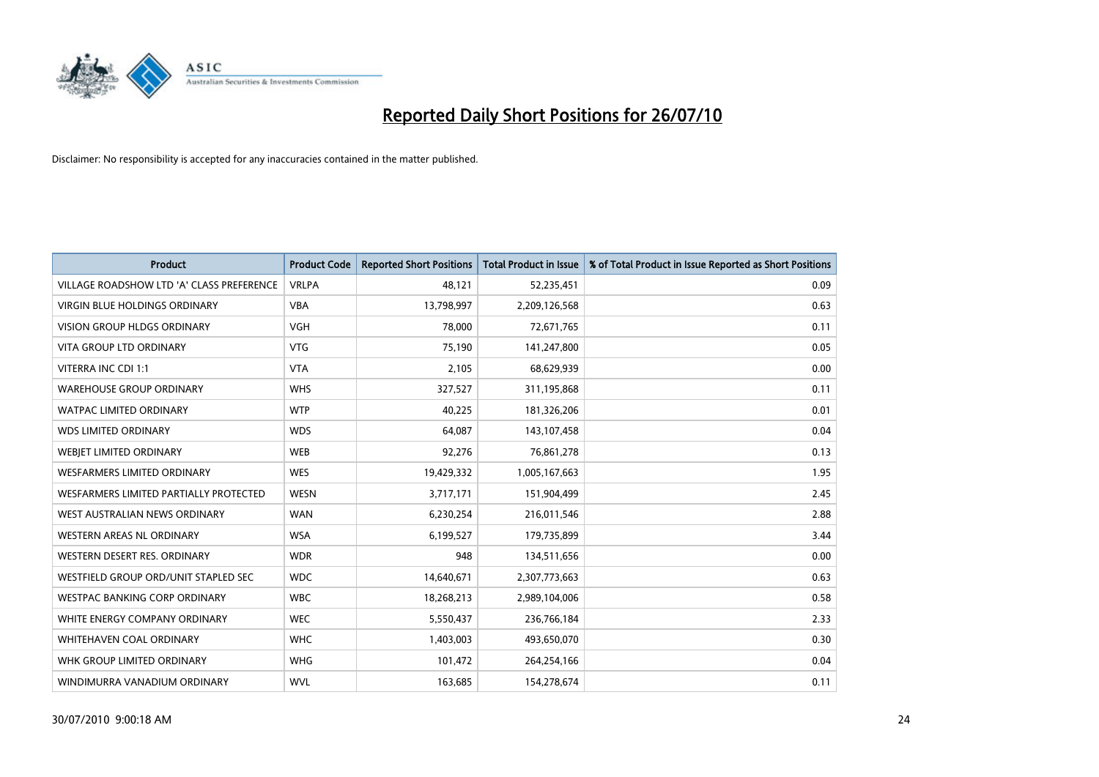

| <b>Product</b>                            | <b>Product Code</b> | <b>Reported Short Positions</b> | <b>Total Product in Issue</b> | % of Total Product in Issue Reported as Short Positions |
|-------------------------------------------|---------------------|---------------------------------|-------------------------------|---------------------------------------------------------|
| VILLAGE ROADSHOW LTD 'A' CLASS PREFERENCE | <b>VRLPA</b>        | 48,121                          | 52,235,451                    | 0.09                                                    |
| VIRGIN BLUE HOLDINGS ORDINARY             | <b>VBA</b>          | 13,798,997                      | 2,209,126,568                 | 0.63                                                    |
| <b>VISION GROUP HLDGS ORDINARY</b>        | <b>VGH</b>          | 78.000                          | 72,671,765                    | 0.11                                                    |
| <b>VITA GROUP LTD ORDINARY</b>            | <b>VTG</b>          | 75,190                          | 141,247,800                   | 0.05                                                    |
| VITERRA INC CDI 1:1                       | <b>VTA</b>          | 2,105                           | 68,629,939                    | 0.00                                                    |
| <b>WAREHOUSE GROUP ORDINARY</b>           | <b>WHS</b>          | 327,527                         | 311,195,868                   | 0.11                                                    |
| <b>WATPAC LIMITED ORDINARY</b>            | <b>WTP</b>          | 40,225                          | 181,326,206                   | 0.01                                                    |
| <b>WDS LIMITED ORDINARY</b>               | <b>WDS</b>          | 64,087                          | 143,107,458                   | 0.04                                                    |
| WEBJET LIMITED ORDINARY                   | <b>WEB</b>          | 92,276                          | 76,861,278                    | 0.13                                                    |
| <b>WESFARMERS LIMITED ORDINARY</b>        | <b>WES</b>          | 19,429,332                      | 1,005,167,663                 | 1.95                                                    |
| WESFARMERS LIMITED PARTIALLY PROTECTED    | <b>WESN</b>         | 3,717,171                       | 151,904,499                   | 2.45                                                    |
| WEST AUSTRALIAN NEWS ORDINARY             | <b>WAN</b>          | 6,230,254                       | 216,011,546                   | 2.88                                                    |
| WESTERN AREAS NL ORDINARY                 | <b>WSA</b>          | 6,199,527                       | 179,735,899                   | 3.44                                                    |
| WESTERN DESERT RES. ORDINARY              | <b>WDR</b>          | 948                             | 134,511,656                   | 0.00                                                    |
| WESTFIELD GROUP ORD/UNIT STAPLED SEC      | <b>WDC</b>          | 14,640,671                      | 2,307,773,663                 | 0.63                                                    |
| <b>WESTPAC BANKING CORP ORDINARY</b>      | <b>WBC</b>          | 18,268,213                      | 2,989,104,006                 | 0.58                                                    |
| WHITE ENERGY COMPANY ORDINARY             | <b>WEC</b>          | 5,550,437                       | 236,766,184                   | 2.33                                                    |
| WHITEHAVEN COAL ORDINARY                  | <b>WHC</b>          | 1,403,003                       | 493,650,070                   | 0.30                                                    |
| WHK GROUP LIMITED ORDINARY                | <b>WHG</b>          | 101,472                         | 264,254,166                   | 0.04                                                    |
| WINDIMURRA VANADIUM ORDINARY              | <b>WVL</b>          | 163,685                         | 154,278,674                   | 0.11                                                    |